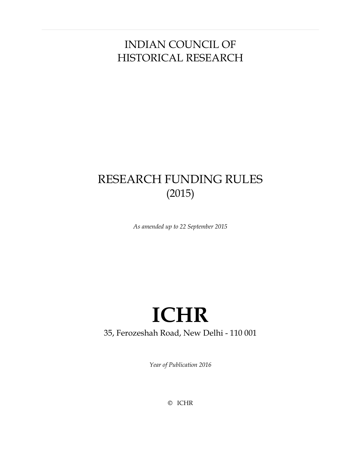# INDIAN COUNCIL OF HISTORICAL RESEARCH

# RESEARCH FUNDING RULES (2015)

*As amended up to 22 September 2015* 

# **ICHR** 35, Ferozeshah Road, New Delhi - 110 001

*Year of Publication 2016*

© ICHR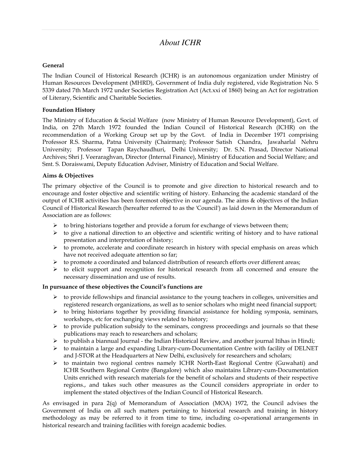# *About ICHR*

### **General**

The Indian Council of Historical Research (ICHR) is an autonomous organization under Ministry of Human Resources Development (MHRD), Government of India duly registered, vide Registration No. S 5339 dated 7th March 1972 under Societies Registration Act (Act.xxi of 1860) being an Act for registration of Literary, Scientific and Charitable Societies.

### **Foundation History**

The Ministry of Education & Social Welfare (now Ministry of Human Resource Development), Govt. of India, on 27th March 1972 founded the Indian Council of Historical Research (ICHR) on the recommendation of a Working Group set up by the Govt. of India in December 1971 comprising Professor R.S. Sharma, Patna University (Chairman); Professor Satish Chandra, Jawaharlal Nehru University; Professor Tapan Raychaudhuri, Delhi University; Dr. S.N. Prasad, Director National Archives; Shri J. Veeraraghvan, Director (Internal Finance), Ministry of Education and Social Welfare; and Smt. S. Doraiswami, Deputy Education Adviser, Ministry of Education and Social Welfare.

### **Aims & Objectives**

The primary objective of the Council is to promote and give direction to historical research and to encourage and foster objective and scientific writing of history. Enhancing the academic standard of the output of ICHR activities has been foremost objective in our agenda. The aims & objectives of the Indian Council of Historical Research (hereafter referred to as the 'Council') as laid down in the Memorandum of Association are as follows:

- $\triangleright$  to bring historians together and provide a forum for exchange of views between them;
- $\triangleright$  to give a national direction to an objective and scientific writing of history and to have rational presentation and interpretation of history;
- $\triangleright$  to promote, accelerate and coordinate research in history with special emphasis on areas which have not received adequate attention so far;
- to promote a coordinated and balanced distribution of research efforts over different areas;
- $\triangleright$  to elicit support and recognition for historical research from all concerned and ensure the necessary dissemination and use of results.

### **In pursuance of these objectives the Council's functions are**

- $\triangleright$  to provide fellowships and financial assistance to the young teachers in colleges, universities and registered research organizations, as well as to senior scholars who might need financial support;
- $\triangleright$  to bring historians together by providing financial assistance for holding symposia, seminars, workshops, etc for exchanging views related to history;
- $\triangleright$  to provide publication subsidy to the seminars, congress proceedings and journals so that these publications may reach to researchers and scholars;
- $\triangleright$  to publish a biannual Journal the Indian Historical Review, and another journal Itihas in Hindi;
- to maintain a large and expanding Library-cum-Documentation Centre with facility of DELNET and J-STOR at the Headquarters at New Delhi, exclusively for researchers and scholars;
- to maintain two regional centres namely ICHR North-East Regional Centre (Guwahati) and ICHR Southern Regional Centre (Bangalore) which also maintains Library-cum-Documentation Units enriched with research materials for the benefit of scholars and students of their respective regions., and takes such other measures as the Council considers appropriate in order to implement the stated objectives of the Indian Council of Historical Research.

As envisaged in para 2(q) of Memorandum of Association (MOA) 1972, the Council advises the Government of India on all such matters pertaining to historical research and training in history methodology as may be referred to it from time to time, including co-operational arrangements in historical research and training facilities with foreign academic bodies.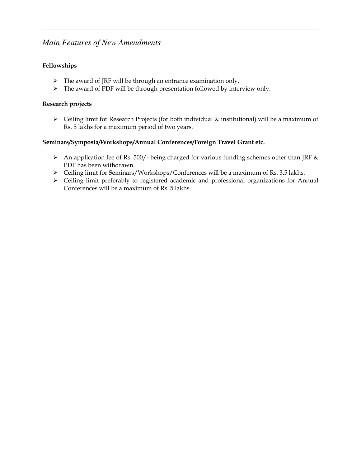# *Main Features of New Amendments*

# **Fellowships**

- $\triangleright$  The award of JRF will be through an entrance examination only.
- > The award of PDF will be through presentation followed by interview only.

## **Research projects**

 Ceiling limit for Research Projects (for both individual & institutional) will be a maximum of Rs. 5 lakhs for a maximum period of two years.

## **Seminars/Symposia/Workshops/Annual Conferences/Foreign Travel Grant etc.**

- An application fee of Rs. 500/- being charged for various funding schemes other than JRF  $\&$ PDF has been withdrawn.
- Ceiling limit for Seminars/Workshops/Conferences will be a maximum of Rs. 3.5 lakhs.
- Ceiling limit preferably to registered academic and professional organizations for Annual Conferences will be a maximum of Rs. 5 lakhs.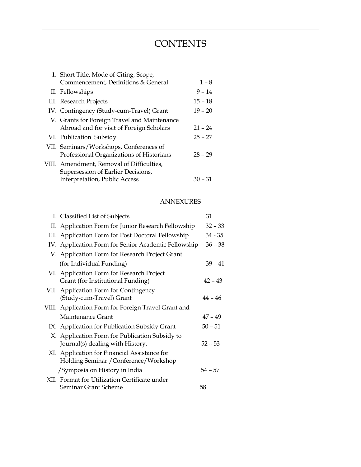# **CONTENTS**

| 1. Short Title, Mode of Citing, Scope,       |           |
|----------------------------------------------|-----------|
| Commencement, Definitions & General          | $1 - 8$   |
| II. Fellowships                              | $9 - 14$  |
| III. Research Projects                       | $15 - 18$ |
| IV. Contingency (Study-cum-Travel) Grant     | $19 - 20$ |
| V. Grants for Foreign Travel and Maintenance |           |
| Abroad and for visit of Foreign Scholars     | $21 - 24$ |
| VI. Publication Subsidy                      | $25 - 27$ |
| VII. Seminars/Workshops, Conferences of      |           |
| Professional Organizations of Historians     | $28 - 29$ |
| VIII. Amendment, Removal of Difficulties,    |           |
| Supersession of Earlier Decisions,           |           |
| Interpretation, Public Access                | 30 – 31   |

# ANNEXURES

| I. Classified List of Subjects                                                         | 31        |
|----------------------------------------------------------------------------------------|-----------|
| II. Application Form for Junior Research Fellowship                                    | $32 - 33$ |
| III. Application Form for Post Doctoral Fellowship                                     | $34 - 35$ |
| IV. Application Form for Senior Academic Fellowship                                    | $36 - 38$ |
| V. Application Form for Research Project Grant                                         |           |
| (for Individual Funding)                                                               | $39 - 41$ |
| VI. Application Form for Research Project<br>Grant (for Institutional Funding)         | $42 - 43$ |
| VII. Application Form for Contingency<br>(Study-cum-Travel) Grant                      | $44 - 46$ |
| VIII. Application Form for Foreign Travel Grant and                                    |           |
| Maintenance Grant                                                                      | $47 - 49$ |
| IX. Application for Publication Subsidy Grant                                          | $50 - 51$ |
| X. Application Form for Publication Subsidy to<br>Journal(s) dealing with History.     | $52 - 53$ |
| XI. Application for Financial Assistance for<br>Holding Seminar / Conference/ Workshop |           |
| /Symposia on History in India                                                          | $54 - 57$ |
| XII. Format for Utilization Certificate under                                          |           |
| Seminar Grant Scheme                                                                   | 58        |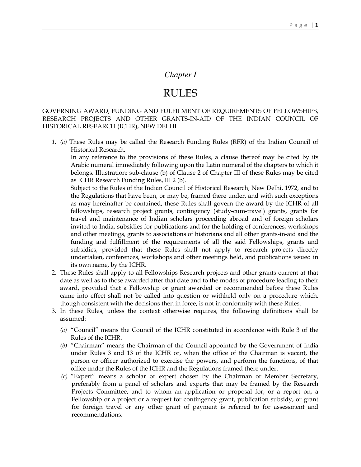# *Chapter I*

# RULES

GOVERNING AWARD, FUNDING AND FULFILMENT OF REQUIREMENTS OF FELLOWSHIPS, RESEARCH PROJECTS AND OTHER GRANTS-IN-AID OF THE INDIAN COUNCIL OF HISTORICAL RESEARCH (ICHR), NEW DELHI

*1. (a)* These Rules may be called the Research Funding Rules (RFR) of the Indian Council of Historical Research.

In any reference to the provisions of these Rules, a clause thereof may be cited by its Arabic numeral immediately following upon the Latin numeral of the chapters to which it belongs. Illustration: sub-clause (b) of Clause 2 of Chapter III of these Rules may be cited as ICHR Research Funding Rules, III 2 (b).

Subject to the Rules of the Indian Council of Historical Research, New Delhi, 1972, and to the Regulations that have been, or may be, framed there under, and with such exceptions as may hereinafter be contained, these Rules shall govern the award by the ICHR of all fellowships, research project grants, contingency (study-cum-travel) grants, grants for travel and maintenance of Indian scholars proceeding abroad and of foreign scholars invited to India, subsidies for publications and for the holding of conferences, workshops and other meetings, grants to associations of historians and all other grants-in-aid and the funding and fulfillment of the requirements of all the said Fellowships, grants and subsidies, provided that these Rules shall not apply to research projects directly undertaken, conferences, workshops and other meetings held, and publications issued in its own name, by the ICHR.

- 2. These Rules shall apply to all Fellowships Research projects and other grants current at that date as well as to those awarded after that date and to the modes of procedure leading to their award, provided that a Fellowship or grant awarded or recommended before these Rules came into effect shall not be called into question or withheld only on a procedure which, though consistent with the decisions then in force, is not in conformity with these Rules.
- 3. In these Rules, unless the context otherwise requires, the following definitions shall be assumed:
	- *(a)* "Council" means the Council of the ICHR constituted in accordance with Rule 3 of the Rules of the ICHR.
	- *(b)* "Chairman" means the Chairman of the Council appointed by the Government of India under Rules 3 and 13 of the ICHR or, when the office of the Chairman is vacant, the person or officer authorized to exercise the powers, and perform the functions, of that office under the Rules of the ICHR and the Regulations framed there under.
	- *(c)* "Expert" means a scholar or expert chosen by the Chairman or Member Secretary, preferably from a panel of scholars and experts that may be framed by the Research Projects Committee, and to whom an application or proposal for, or a report on, a Fellowship or a project or a request for contingency grant, publication subsidy, or grant for foreign travel or any other grant of payment is referred to for assessment and recommendations.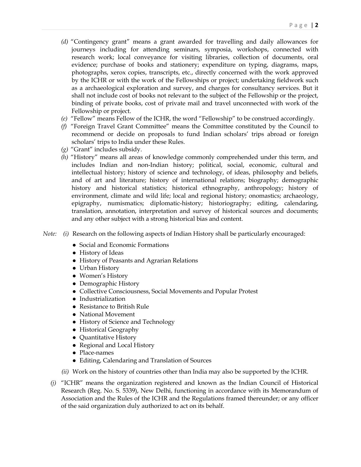- *(d)* "Contingency grant" means a grant awarded for travelling and daily allowances for journeys including for attending seminars, symposia, workshops, connected with research work; local conveyance for visiting libraries, collection of documents, oral evidence; purchase of books and stationery; expenditure on typing, diagrams, maps, photographs, xerox copies, transcripts, etc., directly concerned with the work approved by the ICHR or with the work of the Fellowships or project; undertaking fieldwork such as a archaeological exploration and survey, and charges for consultancy services. But it shall not include cost of books not relevant to the subject of the Fellowship or the project, binding of private books, cost of private mail and travel unconnected with work of the Fellowship or project.
- *(e)* "Fellow" means Fellow of the ICHR, the word "Fellowship" to be construed accordingly.
- *(f)* "Foreign Travel Grant Committee" means the Committee constituted by the Council to recommend or decide on proposals to fund Indian scholars' trips abroad or foreign scholars' trips to India under these Rules.
- *(g)* "Grant" includes subsidy.
- *(h)* "History" means all areas of knowledge commonly comprehended under this term, and includes Indian and non-Indian history; political, social, economic, cultural and intellectual history; history of science and technology, of ideas, philosophy and beliefs, and of art and literature; history of international relations; biography; demographic history and historical statistics; historical ethnography, anthropology; history of environment, climate and wild life; local and regional history; onomastics; archaeology, epigraphy, numismatics; diplomatic-history; historiography; editing, calendaring, translation, annotation, interpretation and survey of historical sources and documents; and any other subject with a strong historical bias and content.
- *Note: (i)* Research on the following aspects of Indian History shall be particularly encouraged:
- -• Social and Economic Formations
- History of Ideas
- History of Peasants and Agrarian Relations
- Urban History
- Women's History
- Demographic History
- Collective Consciousness, Social Movements and Popular Protest
- -• Industrialization
- -• Resistance to British Rule
- -• National Movement
- History of Science and Technology
- Historical Geography
- Quantitative History
- Regional and Local History
- Place-names
- Editing, Calendaring and Translation of Sources
	- *(ii)* Work on the history of countries other than India may also be supported by the ICHR.
	- *(j)* "ICHR" means the organization registered and known as the Indian Council of Historical Research (Reg. No. S. 5339), New Delhi, functioning in accordance with its Memorandum of Association and the Rules of the ICHR and the Regulations framed thereunder; or any officer of the said organization duly authorized to act on its behalf.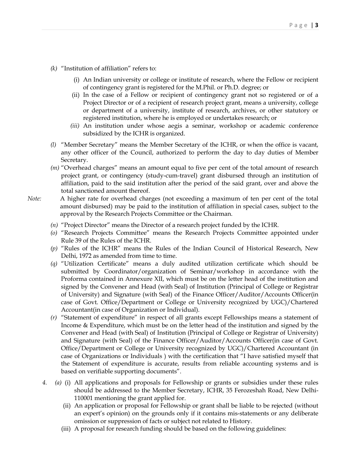- *(k)* "Institution of affiliation" refers to:
	- (i) An Indian university or college or institute of research, where the Fellow or recipient of contingency grant is registered for the M.Phil. or Ph.D. degree; or
	- (ii) In the case of a Fellow or recipient of contingency grant not so registered or of a Project Director or of a recipient of research project grant, means a university, college or department of a university, institute of research, archives, or other statutory or registered institution, where he is employed or undertakes research; or
	- *(iii)* An institution under whose aegis a seminar, workshop or academic conference subsidized by the ICHR is organized.
- *(l)* "Member Secretary" means the Member Secretary of the ICHR, or when the office is vacant, any other officer of the Council, authorized to perform the day to day duties of Member Secretary.
- *(m)* "Overhead charges" means an amount equal to five per cent of the total amount of research project grant, or contingency (study-cum-travel) grant disbursed through an institution of affiliation, paid to the said institution after the period of the said grant, over and above the total sanctioned amount thereof.
- *Note:* A higher rate for overhead charges (not exceeding a maximum of ten per cent of the total amount disbursed) may be paid to the institution of affiliation in special cases, subject to the approval by the Research Projects Committee or the Chairman.
	- *(n)* "Project Director" means the Director of a research project funded by the ICHR.
	- *(o)* "Research Projects Committee" means the Research Projects Committee appointed under Rule 39 of the Rules of the ICHR.
	- *(p)* "Rules of the ICHR" means the Rules of the Indian Council of Historical Research, New Delhi, 1972 as amended from time to time.
	- *(q)* "Utilization Certificate" means a duly audited utilization certificate which should be submitted by Coordinator/organization of Seminar/workshop in accordance with the Proforma contained in Annexure XII, which must be on the letter head of the institution and signed by the Convener and Head (with Seal) of Institution (Principal of College or Registrar of University) and Signature (with Seal) of the Finance Officer/Auditor/Accounts Officer(in case of Govt. Office/Department or College or University recognized by UGC)/Chartered Accountant(in case of Organization or Individual).
	- *(r)* "Statement of expenditure" in respect of all grants except Fellowships means a statement of Income & Expenditure, which must be on the letter head of the institution and signed by the Convener and Head (with Seal) of Institution (Principal of College or Registrar of University) and Signature (with Seal) of the Finance Officer/Auditor/Accounts Officer(in case of Govt. Office/Department or College or University recognized by UGC)/Chartered Accountant (in case of Organizations or Individuals ) with the certification that "I have satisfied myself that the Statement of expenditure is accurate, results from reliable accounting systems and is based on verifiable supporting documents".
	- *4. (a)* (i) All applications and proposals for Fellowship or grants or subsidies under these rules should be addressed to the Member Secretary, ICHR, 35 Ferozeshah Road, New Delhi-110001 mentioning the grant applied for.
		- (ii) An application or proposal for Fellowship or grant shall be liable to be rejected (without an expert's opinion) on the grounds only if it contains mis-statements or any deliberate omission or suppression of facts or subject not related to History.
		- (iii) A proposal for research funding should be based on the following guidelines: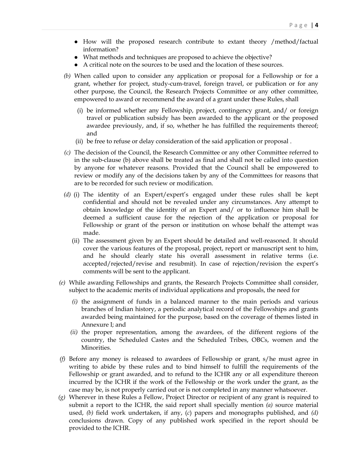- How will the proposed research contribute to extant theory /method/factual information?
- -What methods and techniques are proposed to achieve the objective?
- - A critical note on the sources to be used and the location of these sources.
	- *(b)* When called upon to consider any application or proposal for a Fellowship or for a grant, whether for project, study-cum-travel, foreign travel, or publication or for any other purpose, the Council, the Research Projects Committee or any other committee, empowered to award or recommend the award of a grant under these Rules, shall
		- (i) be informed whether any Fellowship, project, contingency grant, and/ or foreign travel or publication subsidy has been awarded to the applicant or the proposed awardee previously, and, if so, whether he has fulfilled the requirements thereof; and
		- (ii) be free to refuse or delay consideration of the said application or proposal .
	- *(c)* The decision of the Council, the Research Committee or any other Committee referred to in the sub-clause (b) above shall be treated as final and shall not be called into question by anyone for whatever reasons. Provided that the Council shall be empowered to review or modify any of the decisions taken by any of the Committees for reasons that are to be recorded for such review or modification.
	- *(d)* (i) The identity of an Expert/expert's engaged under these rules shall be kept confidential and should not be revealed under any circumstances. Any attempt to obtain knowledge of the identity of an Expert and/ or to influence him shall be deemed a sufficient cause for the rejection of the application or proposal for Fellowship or grant of the person or institution on whose behalf the attempt was made.
		- (ii) The assessment given by an Expert should be detailed and well-reasoned. It should cover the various features of the proposal, project, report or manuscript sent to him, and he should clearly state his overall assessment in relative terms (i.e. accepted/rejected/revise and resubmit). In case of rejection/revision the expert's comments will be sent to the applicant.
	- *(e)* While awarding Fellowships and grants, the Research Projects Committee shall consider, subject to the academic merits of individual applications and proposals, the need for
		- *(i)* the assignment of funds in a balanced manner to the main periods and various branches of Indian history, a periodic analytical record of the Fellowships and grants awarded being maintained for the purpose, based on the coverage of themes listed in Annexure I; and
		- *(ii)* the proper representation, among the awardees, of the different regions of the country, the Scheduled Castes and the Scheduled Tribes, OBCs, women and the Minorities.
	- *(f)* Before any money is released to awardees of Fellowship or grant, s/he must agree in writing to abide by these rules and to bind himself to fulfill the requirements of the Fellowship or grant awarded, and to refund to the ICHR any or all expenditure thereon incurred by the ICHR if the work of the Fellowship or the work under the grant, as the case may be, is not properly carried out or is not completed in any manner whatsoever.
	- *(g)* Wherever in these Rules a Fellow, Project Director or recipient of any grant is required to submit a report to the ICHR, the said report shall specially mention *(a)* source material used, *(b)* field work undertaken, if any, (*c*) papers and monographs published, and *(d)* conclusions drawn. Copy of any published work specified in the report should be provided to the ICHR.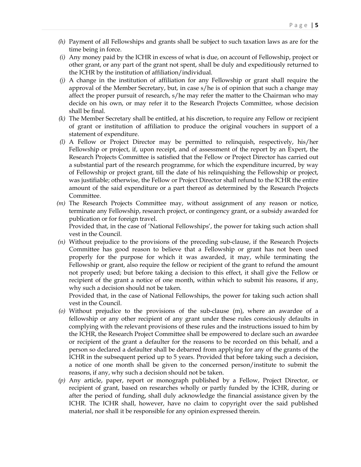- *(h)* Payment of all Fellowships and grants shall be subject to such taxation laws as are for the time being in force.
- *(i)* Any money paid by the ICHR in excess of what is due, on account of Fellowship, project or other grant, or any part of the grant not spent, shall be duly and expeditiously returned to the ICHR by the institution of affiliation/individual.
- *(j)* A change in the institution of affiliation for any Fellowship or grant shall require the approval of the Member Secretary, but, in case s/he is of opinion that such a change may affect the proper pursuit of research, s/he may refer the matter to the Chairman who may decide on his own, or may refer it to the Research Projects Committee, whose decision shall be final.
- *(k)* The Member Secretary shall be entitled, at his discretion, to require any Fellow or recipient of grant or institution of affiliation to produce the original vouchers in support of a statement of expenditure.
- *(l)* A Fellow or Project Director may be permitted to relinquish, respectively, his/her Fellowship or project, if, upon receipt, and of assessment of the report by an Expert, the Research Projects Committee is satisfied that the Fellow or Project Director has carried out a substantial part of the research programme, for which the expenditure incurred, by way of Fellowship or project grant, till the date of his relinquishing the Fellowship or project, was justifiable; otherwise, the Fellow or Project Director shall refund to the ICHR the entire amount of the said expenditure or a part thereof as determined by the Research Projects Committee.
- *(m)* The Research Projects Committee may, without assignment of any reason or notice, terminate any Fellowship, research project, or contingency grant, or a subsidy awarded for publication or for foreign travel.

 Provided that, in the case of 'National Fellowships', the power for taking such action shall vest in the Council.

*(n)* Without prejudice to the provisions of the preceding sub-clause, if the Research Projects Committee has good reason to believe that a Fellowship or grant has not been used properly for the purpose for which it was awarded, it may, while terminating the Fellowship or grant, also require the fellow or recipient of the grant to refund the amount not properly used; but before taking a decision to this effect, it shall give the Fellow or recipient of the grant a notice of one month, within which to submit his reasons, if any, why such a decision should not be taken.

 Provided that, in the case of National Fellowships, the power for taking such action shall vest in the Council.

- *(o)* Without prejudice to the provisions of the sub-clause (m), where an awardee of a fellowship or any other recipient of any grant under these rules consciously defaults in complying with the relevant provisions of these rules and the instructions issued to him by the ICHR, the Research Project Committee shall be empowered to declare such an awardee or recipient of the grant a defaulter for the reasons to be recorded on this behalf, and a person so declared a defaulter shall be debarred from applying for any of the grants of the ICHR in the subsequent period up to 5 years. Provided that before taking such a decision, a notice of one month shall be given to the concerned person/institute to submit the reasons, if any, why such a decision should not be taken.
- *(p)* Any article, paper, report or monograph published by a Fellow, Project Director, or recipient of grant, based on researches wholly or partly funded by the ICHR, during or after the period of funding, shall duly acknowledge the financial assistance given by the ICHR. The ICHR shall, however, have no claim to copyright over the said published material, nor shall it be responsible for any opinion expressed therein.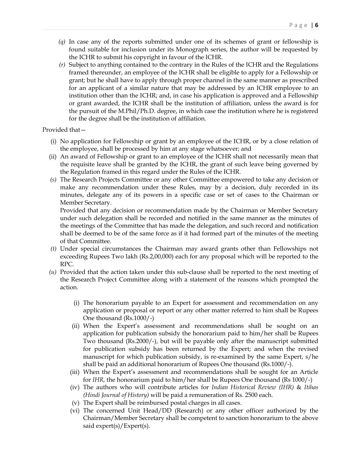- *(q)* In case any of the reports submitted under one of its schemes of grant or fellowship is found suitable for inclusion under its Monograph series, the author will be requested by the ICHR to submit his copyright in favour of the ICHR.
- *(r)* Subject to anything contained to the contrary in the Rules of the ICHR and the Regulations framed thereunder, an employee of the ICHR shall be eligible to apply for a Fellowship or grant; but he shall have to apply through proper channel in the same manner as prescribed for an applicant of a similar nature that may be addressed by an ICHR employee to an institution other than the ICHR; and, in case his application is approved and a Fellowship or grant awarded, the ICHR shall be the institution of affiliation, unless the award is for the pursuit of the M.Phil/Ph.D. degree, in which case the institution where he is registered for the degree shall be the institution of affiliation.

### Provided that—

- (i) No application for Fellowship or grant by an employee of the ICHR, or by a close relation of the employee, shall be processed by him at any stage whatsoever; and
- (ii) An award of Fellowship or grant to an employee of the ICHR shall not necessarily mean that the requisite leave shall be granted by the ICHR, the grant of such leave being governed by the Regulation framed in this regard under the Rules of the ICHR.
- *(s)* The Research Projects Committee or any other Committee empowered to take any decision or make any recommendation under these Rules, may by a decision, duly recorded in its minutes, delegate any of its powers in a specific case or set of cases to the Chairman or Member Secretary.

Provided that any decision or recommendation made by the Chairman or Member Secretary under such delegation shall be recorded and notified in the same manner as the minutes of the meetings of the Committee that has made the delegation, and such record and notification shall be deemed to be of the same force as if it had formed part of the minutes of the meeting of that Committee.

- *(t)* Under special circumstances the Chairman may award grants other than Fellowships not exceeding Rupees Two lakh (Rs.2,00,000) each for any proposal which will be reported to the RPC.
- *(u)* Provided that the action taken under this sub-clause shall be reported to the next meeting of the Research Project Committee along with a statement of the reasons which prompted the action.
	- (i) The honorarium payable to an Expert for assessment and recommendation on any application or proposal or report or any other matter referred to him shall be Rupees One thousand (Rs.1000/-)
	- (ii) When the Expert's assessment and recommendations shall be sought on an application for publication subsidy the honorarium paid to him/her shall be Rupees Two thousand (Rs.2000/-), but will be payable only after the manuscript submitted for publication subsidy has been returned by the Expert; and when the revised manuscript for which publication subsidy, is re-examined by the same Expert, s/he shall be paid an additional honorarium of Rupees One thousand (Rs.1000/-).
	- (iii) When the Expert's assessment and recommendations shall be sought for an Article for *IHR,* the honorarium paid to him/her shall be Rupees One thousand (Rs 1000/-)
	- (iv) The authors who will contribute articles for *Indian Historical Review (IHR)* & *Itihas (Hindi Journal of History)* will be paid a remuneration of Rs. 2500 each.
	- (v) The Expert shall be reimbursed postal charges in all cases.
	- (vi) The concerned Unit Head/DD (Research) or any other officer authorized by the Chairman/Member Secretary shall be competent to sanction honorarium to the above said expert(s)/Expert(s).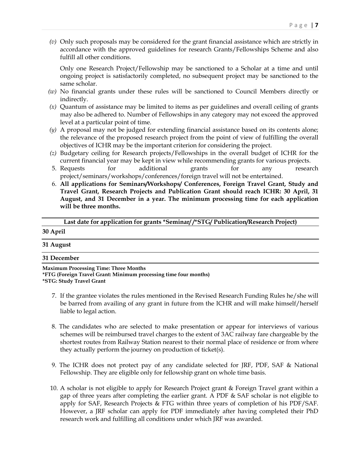*(v)* Only such proposals may be considered for the grant financial assistance which are strictly in accordance with the approved guidelines for research Grants/Fellowships Scheme and also fulfill all other conditions.

Only one Research Project/Fellowship may be sanctioned to a Scholar at a time and until ongoing project is satisfactorily completed, no subsequent project may be sanctioned to the same scholar.

- *(w)* No financial grants under these rules will be sanctioned to Council Members directly or indirectly.
- *(x)* Quantum of assistance may be limited to items as per guidelines and overall ceiling of grants may also be adhered to. Number of Fellowships in any category may not exceed the approved level at a particular point of time.
- *(y)* A proposal may not be judged for extending financial assistance based on its contents alone; the relevance of the proposed research project from the point of view of fulfilling the overall objectives of ICHR may be the important criterion for considering the project.
- *(z)* Budgetary ceiling for Research projects/Fellowships in the overall budget of ICHR for the current financial year may be kept in view while recommending grants for various projects.
- 5. Requests for additional grants for any research project/seminars/workshops/conferences/foreign travel will not be entertained.
- 6. **All applications for Seminars/Workshops/ Conferences, Foreign Travel Grant, Study and Travel Grant, Research Projects and Publication Grant should reach ICHR: 30 April, 31 August, and 31 December in a year. The minimum processing time for each application will be three months.**

### **Last date for application for grants \*Seminar/ /\*STG/ Publication/Research Project)**

### **30 April**

### **31 August**

### **31 December**

**Maximum Processing Time: Three Months \*FTG (Foreign Travel Grant: Minimum processing time four months) \*STG: Study Travel Grant** 

- 7. If the grantee violates the rules mentioned in the Revised Research Funding Rules he/she will be barred from availing of any grant in future from the ICHR and will make himself/herself liable to legal action.
- 8. The candidates who are selected to make presentation or appear for interviews of various schemes will be reimbursed travel charges to the extent of 3AC railway fare chargeable by the shortest routes from Railway Station nearest to their normal place of residence or from where they actually perform the journey on production of ticket(s).
- 9. The ICHR does not protect pay of any candidate selected for JRF, PDF, SAF & National Fellowship. They are eligible only for fellowship grant on whole time basis.
- 10. A scholar is not eligible to apply for Research Project grant & Foreign Travel grant within a gap of three years after completing the earlier grant. A PDF  $\&$  SAF scholar is not eligible to apply for SAF, Research Projects & FTG within three years of completion of his PDF/SAF. However, a JRF scholar can apply for PDF immediately after having completed their PhD research work and fulfilling all conditions under which JRF was awarded.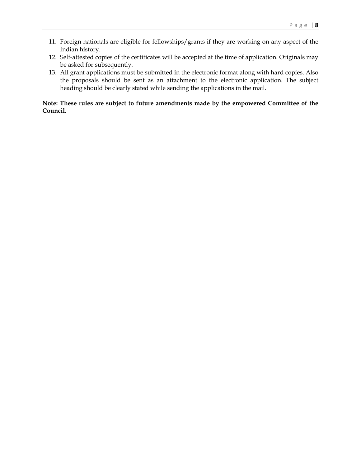- 11. Foreign nationals are eligible for fellowships/grants if they are working on any aspect of the Indian history.
- 12. Self-attested copies of the certificates will be accepted at the time of application. Originals may be asked for subsequently.
- 13. All grant applications must be submitted in the electronic format along with hard copies. Also the proposals should be sent as an attachment to the electronic application. The subject heading should be clearly stated while sending the applications in the mail.

### **Note: These rules are subject to future amendments made by the empowered Committee of the Council.**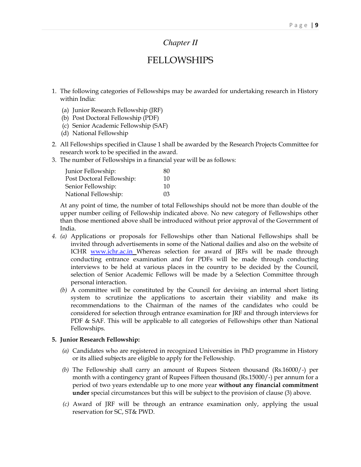# *Chapter II*

# FELLOWSHIPS

- 1. The following categories of Fellowships may be awarded for undertaking research in History within India:
	- (a) Junior Research Fellowship (JRF)
	- (b) Post Doctoral Fellowship (PDF)
	- (c) Senior Academic Fellowship (SAF)
	- (d) National Fellowship
- 2. All Fellowships specified in Clause 1 shall be awarded by the Research Projects Committee for research work to be specified in the award.
- 3. The number of Fellowships in a financial year will be as follows:

| Junior Fellowship:        | 80 |
|---------------------------|----|
| Post Doctoral Fellowship: | 10 |
| Senior Fellowship:        | 10 |
| National Fellowship:      | 03 |

 At any point of time, the number of total Fellowships should not be more than double of the upper number ceiling of Fellowship indicated above. No new category of Fellowships other than those mentioned above shall be introduced without prior approval of the Government of India.

- *4. (a)* Applications or proposals for Fellowships other than National Fellowships shall be invited through advertisements in some of the National dailies and also on the website of ICHR <u>www.ichr.ac.in</u> Whereas selection for award of JRFs will be made through conducting entrance examination and for PDFs will be made through conducting interviews to be held at various places in the country to be decided by the Council, selection of Senior Academic Fellows will be made by a Selection Committee through personal interaction.
	- *(b)* A committee will be constituted by the Council for devising an internal short listing system to scrutinize the applications to ascertain their viability and make its recommendations to the Chairman of the names of the candidates who could be considered for selection through entrance examination for JRF and through interviews for PDF & SAF. This will be applicable to all categories of Fellowships other than National Fellowships.

### **5. Junior Research Fellowship:**

- *(a)* Candidates who are registered in recognized Universities in PhD programme in History or its allied subjects are eligible to apply for the Fellowship.
- *(b)* The Fellowship shall carry an amount of Rupees Sixteen thousand (Rs.16000/-) per month with a contingency grant of Rupees Fifteen thousand (Rs.15000/-) per annum for a period of two years extendable up to one more year **without any financial commitment under** special circumstances but this will be subject to the provision of clause (3) above.
- *(c)* Award of JRF will be through an entrance examination only, applying the usual reservation for SC, ST& PWD.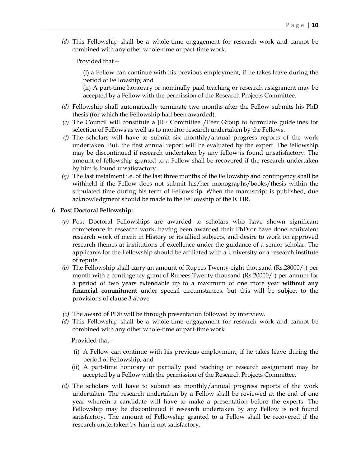*(d)* This Fellowship shall be a whole-time engagement for research work and cannot be combined with any other whole-time or part-time work.

Provided that—

 (i) a Fellow can continue with his previous employment, if he takes leave during the period of Fellowship; and

 (ii) A part-time honorary or nominally paid teaching or research assignment may be accepted by a Fellow with the permission of the Research Projects Committee.

- *(d)* Fellowship shall automatically terminate two months after the Fellow submits his PhD thesis (for which the Fellowship had been awarded).
- *(e)* The Council will constitute a JRF Committee /Peer Group to formulate guidelines for selection of Fellows as well as to monitor research undertaken by the Fellows.
- *(f)* The scholars will have to submit six monthly/annual progress reports of the work undertaken. But, the first annual report will be evaluated by the expert. The fellowship may be discontinued if research undertaken by any fellow is found unsatisfactory. The amount of fellowship granted to a Fellow shall be recovered if the research undertaken by him is found unsatisfactory.
- *(g)* The last instalment i.e. of the last three months of the Fellowship and contingency shall be withheld if the Fellow does not submit his/her monographs/books/thesis within the stipulated time during his term of Fellowship. When the manuscript is published, due acknowledgment should be made to the Fellowship of the ICHR.

### 6. **Post Doctoral Fellowship:**

- *(a)* Post Doctoral Fellowships are awarded to scholars who have shown significant competence in research work, having been awarded their PhD or have done equivalent research work of merit in History or its allied subjects, and desire to work on approved research themes at institutions of excellence under the guidance of a senior scholar. The applicants for the Fellowship should be affiliated with a University or a research institute of repute.
- *(b)* The Fellowship shall carry an amount of Rupees Twenty eight thousand (Rs.28000/-) per month with a contingency grant of Rupees Twenty thousand (Rs 20000/-) per annum for a period of two years extendable up to a maximum of one more year **without any financial commitment** under special circumstances, but this will be subject to the provisions of clause 3 above
- *(c)* The award of PDF will be through presentation followed by interview.
- *(d)* This Fellowship shall be a whole-time engagement for research work and cannot be combined with any other whole-time or part-time work.

Provided that—

- (i) A Fellow can continue with his previous employment, if he takes leave during the period of Fellowship; and
- (ii) A part-time honorary or partially paid teaching or research assignment may be accepted by a Fellow with the permission of the Research Projects Committee.
- *(d)* The scholars will have to submit six monthly/annual progress reports of the work undertaken. The research undertaken by a Fellow shall be reviewed at the end of one year wherein a candidate will have to make a presentation before the experts. The Fellowship may be discontinued if research undertaken by any Fellow is not found satisfactory. The amount of Fellowship granted to a Fellow shall be recovered if the research undertaken by him is not satisfactory.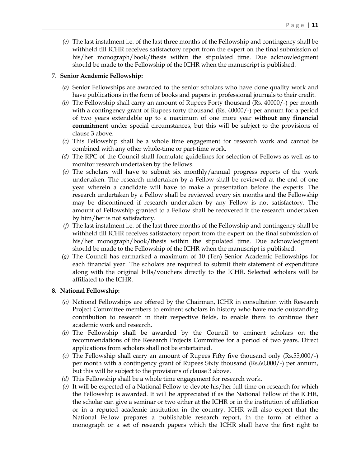*(e)* The last instalment i.e. of the last three months of the Fellowship and contingency shall be withheld till ICHR receives satisfactory report from the expert on the final submission of his/her monograph/book/thesis within the stipulated time. Due acknowledgment should be made to the Fellowship of the ICHR when the manuscript is published.

### 7. **Senior Academic Fellowship:**

- *(a)* Senior Fellowships are awarded to the senior scholars who have done quality work and have publications in the form of books and papers in professional journals to their credit.
- *(b)* The Fellowship shall carry an amount of Rupees Forty thousand (Rs. 40000/-) per month with a contingency grant of Rupees forty thousand (Rs. 40000/-) per annum for a period of two years extendable up to a maximum of one more year **without any financial commitment** under special circumstances, but this will be subject to the provisions of clause 3 above.
- *(c)* This Fellowship shall be a whole time engagement for research work and cannot be combined with any other whole-time or part-time work.
- *(d)* The RPC of the Council shall formulate guidelines for selection of Fellows as well as to monitor research undertaken by the fellows.
- *(e)* The scholars will have to submit six monthly/annual progress reports of the work undertaken. The research undertaken by a Fellow shall be reviewed at the end of one year wherein a candidate will have to make a presentation before the experts. The research undertaken by a Fellow shall be reviewed every six months and the Fellowship may be discontinued if research undertaken by any Fellow is not satisfactory. The amount of Fellowship granted to a Fellow shall be recovered if the research undertaken by him/her is not satisfactory.
- *(f)* The last instalment i.e. of the last three months of the Fellowship and contingency shall be withheld till ICHR receives satisfactory report from the expert on the final submission of his/her monograph/book/thesis within the stipulated time. Due acknowledgment should be made to the Fellowship of the ICHR when the manuscript is published.
- *(g)* The Council has earmarked a maximum of 10 (Ten) Senior Academic Fellowships for each financial year. The scholars are required to submit their statement of expenditure along with the original bills/vouchers directly to the ICHR. Selected scholars will be affiliated to the ICHR.

### **8. National Fellowship:**

- *(a)* National Fellowships are offered by the Chairman, ICHR in consultation with Research Project Committee members to eminent scholars in history who have made outstanding contribution to research in their respective fields, to enable them to continue their academic work and research.
- *(b)* The Fellowship shall be awarded by the Council to eminent scholars on the recommendations of the Research Projects Committee for a period of two years. Direct applications from scholars shall not be entertained.
- *(c)* The Fellowship shall carry an amount of Rupees Fifty five thousand only (Rs.55,000/-) per month with a contingency grant of Rupees Sixty thousand (Rs.60,000/-) per annum, but this will be subject to the provisions of clause 3 above.
- *(d)* This Fellowship shall be a whole time engagement for research work.
- *(e)* It will be expected of a National Fellow to devote his/her full time on research for which the Fellowship is awarded. It will be appreciated if as the National Fellow of the ICHR, the scholar can give a seminar or two either at the ICHR or in the institution of affiliation or in a reputed academic institution in the country. ICHR will also expect that the National Fellow prepares a publishable research report, in the form of either a monograph or a set of research papers which the ICHR shall have the first right to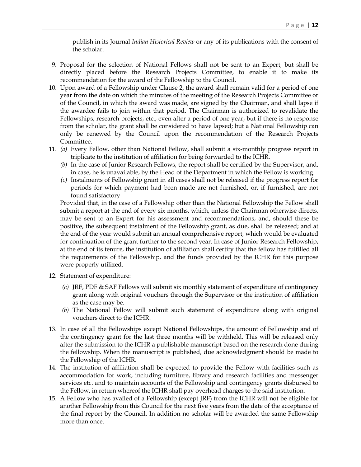publish in its Journal *Indian Historical Review* or any of its publications with the consent of the scholar.

- 9. Proposal for the selection of National Fellows shall not be sent to an Expert, but shall be directly placed before the Research Projects Committee, to enable it to make its recommendation for the award of the Fellowship to the Council.
- 10. Upon award of a Fellowship under Clause 2, the award shall remain valid for a period of one year from the date on which the minutes of the meeting of the Research Projects Committee or of the Council, in which the award was made, are signed by the Chairman, and shall lapse if the awardee fails to join within that period. The Chairman is authorized to revalidate the Fellowships, research projects, etc., even after a period of one year, but if there is no response from the scholar, the grant shall be considered to have lapsed; but a National Fellowship can only be renewed by the Council upon the recommendation of the Research Projects Committee.
- 11. *(a)* Every Fellow, other than National Fellow, shall submit a six-monthly progress report in triplicate to the institution of affiliation for being forwarded to the ICHR.
	- *(b)* In the case of Junior Research Fellows, the report shall be certified by the Supervisor, and, in case, he is unavailable, by the Head of the Department in which the Fellow is working.
	- *(c)* Instalments of Fellowship grant in all cases shall not be released if the progress report for periods for which payment had been made are not furnished, or, if furnished, are not found satisfactory

 Provided that, in the case of a Fellowship other than the National Fellowship the Fellow shall submit a report at the end of every six months, which, unless the Chairman otherwise directs, may be sent to an Expert for his assessment and recommendations, and, should these be positive, the subsequent instalment of the Fellowship grant, as due, shall be released; and at the end of the year would submit an annual comprehensive report, which would be evaluated for continuation of the grant further to the second year. In case of Junior Research Fellowship, at the end of its tenure, the institution of affiliation shall certify that the fellow has fulfilled all the requirements of the Fellowship, and the funds provided by the ICHR for this purpose were properly utilized.

- 12. Statement of expenditure:
	- *(a)* JRF, PDF & SAF Fellows will submit six monthly statement of expenditure of contingency grant along with original vouchers through the Supervisor or the institution of affiliation as the case may be.
	- *(b)* The National Fellow will submit such statement of expenditure along with original vouchers direct to the ICHR.
- 13. In case of all the Fellowships except National Fellowships, the amount of Fellowship and of the contingency grant for the last three months will be withheld. This will be released only after the submission to the ICHR a publishable manuscript based on the research done during the fellowship. When the manuscript is published, due acknowledgment should be made to the Fellowship of the ICHR.
- 14. The institution of affiliation shall be expected to provide the Fellow with facilities such as accommodation for work, including furniture, library and research facilities and messenger services etc. and to maintain accounts of the Fellowship and contingency grants disbursed to the Fellow, in return whereof the ICHR shall pay overhead charges to the said institution.
- 15. A Fellow who has availed of a Fellowship (except JRF) from the ICHR will not be eligible for another Fellowship from this Council for the next five years from the date of the acceptance of the final report by the Council. In addition no scholar will be awarded the same Fellowship more than once.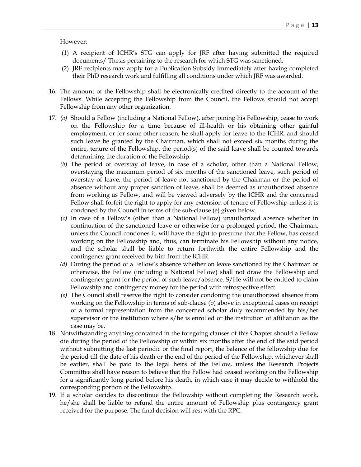### However:

- (1) A recipient of ICHR's STG can apply for JRF after having submitted the required documents/ Thesis pertaining to the research for which STG was sanctioned.
- (2) JRF recipients may apply for a Publication Subsidy immediately after having completed their PhD research work and fulfilling all conditions under which JRF was awarded.
- 16. The amount of the Fellowship shall be electronically credited directly to the account of the Fellows. While accepting the Fellowship from the Council, the Fellows should not accept Fellowship from any other organization.
- 17. *(a)* Should a Fellow (including a National Fellow), after joining his Fellowship, cease to work on the Fellowship for a time because of ill-health or his obtaining other gainful employment, or for some other reason, he shall apply for leave to the ICHR, and should such leave be granted by the Chairman, which shall not exceed six months during the entire, tenure of the Fellowship, the period(s) of the said leave shall be counted towards determining the duration of the Fellowship.
	- *(b)* The period of overstay of leave, in case of a scholar, other than a National Fellow, overstaying the maximum period of six months of the sanctioned leave, such period of overstay of leave, the period of leave not sanctioned by the Chairman or the period of absence without any proper sanction of leave, shall be deemed as unauthorized absence from working as Fellow, and will be viewed adversely by the ICHR and the concerned Fellow shall forfeit the right to apply for any extension of tenure of Fellowship unless it is condoned by the Council in terms of the sub-clause (e) given below.
	- *(c)* In case of a Fellow's (other than a National Fellow) unauthorized absence whether in continuation of the sanctioned leave or otherwise for a prolonged period, the Chairman, unless the Council condones it, will have the right to presume that the Fellow, has ceased working on the Fellowship and, thus, can terminate his Fellowship without any notice, and the scholar shall be liable to return forthwith the entire Fellowship and the contingency grant received by him from the ICHR.
	- *(d)* During the period of a Fellow's absence whether on leave sanctioned by the Chairman or otherwise, the Fellow (including a National Fellow) shall not draw the Fellowship and contingency grant for the period of such leave/absence. S/He will not be entitled to claim Fellowship and contingency money for the period with retrospective effect.
	- *(e)* The Council shall reserve the right to consider condoning the unauthorized absence from working on the Fellowship in terms of sub-clause (b) above in exceptional cases on receipt of a formal representation from the concerned scholar duly recommended by his/her supervisor or the institution where s/he is enrolled or the institution of affiliation as the case may be.
- 18. Notwithstanding anything contained in the foregoing clauses of this Chapter should a Fellow die during the period of the Fellowship or within six months after the end of the said period without submitting the last periodic or the final report, the balance of the fellowship due for the period till the date of his death or the end of the period of the Fellowship, whichever shall be earlier, shall be paid to the legal heirs of the Fellow, unless the Research Projects Committee shall have reason to believe that the Fellow had ceased working on the Fellowship for a significantly long period before his death, in which case it may decide to withhold the corresponding portion of the Fellowship.
- 19. If a scholar decides to discontinue the Fellowship without completing the Research work, he/she shall be liable to refund the entire amount of Fellowship plus contingency grant received for the purpose. The final decision will rest with the RPC.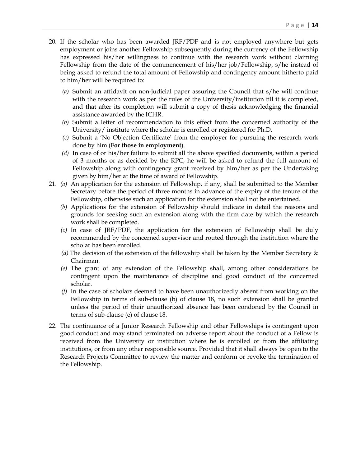- 20. If the scholar who has been awarded JRF/PDF and is not employed anywhere but gets employment or joins another Fellowship subsequently during the currency of the Fellowship has expressed his/her willingness to continue with the research work without claiming Fellowship from the date of the commencement of his/her job/Fellowship, s/he instead of being asked to refund the total amount of Fellowship and contingency amount hitherto paid to him/her will be required to:
	- *(a)* Submit an affidavit on non-judicial paper assuring the Council that s/he will continue with the research work as per the rules of the University/institution till it is completed, and that after its completion will submit a copy of thesis acknowledging the financial assistance awarded by the ICHR.
	- *(b)* Submit a letter of recommendation to this effect from the concerned authority of the University/ institute where the scholar is enrolled or registered for Ph.D.
	- *(c)* Submit a 'No Objection Certificate' from the employer for pursuing the research work done by him (**For those in employment**).
	- *(d)* In case of or his/her failure to submit all the above specified documents, within a period of 3 months or as decided by the RPC, he will be asked to refund the full amount of Fellowship along with contingency grant received by him/her as per the Undertaking given by him/her at the time of award of Fellowship.
- 21. *(a)* An application for the extension of Fellowship, if any, shall be submitted to the Member Secretary before the period of three months in advance of the expiry of the tenure of the Fellowship, otherwise such an application for the extension shall not be entertained.
	- *(b)* Applications for the extension of Fellowship should indicate in detail the reasons and grounds for seeking such an extension along with the firm date by which the research work shall be completed.
	- *(c)* In case of JRF/PDF, the application for the extension of Fellowship shall be duly recommended by the concerned supervisor and routed through the institution where the scholar has been enrolled.
	- *(d)* The decision of the extension of the fellowship shall be taken by the Member Secretary & Chairman.
	- *(e)* The grant of any extension of the Fellowship shall, among other considerations be contingent upon the maintenance of discipline and good conduct of the concerned scholar.
	- *(f)* In the case of scholars deemed to have been unauthorizedly absent from working on the Fellowship in terms of sub-clause (b) of clause 18, no such extension shall be granted unless the period of their unauthorized absence has been condoned by the Council in terms of sub-clause (e) of clause 18.
- 22. The continuance of a Junior Research Fellowship and other Fellowships is contingent upon good conduct and may stand terminated on adverse report about the conduct of a Fellow is received from the University or institution where he is enrolled or from the affiliating institutions, or from any other responsible source. Provided that it shall always be open to the Research Projects Committee to review the matter and conform or revoke the termination of the Fellowship.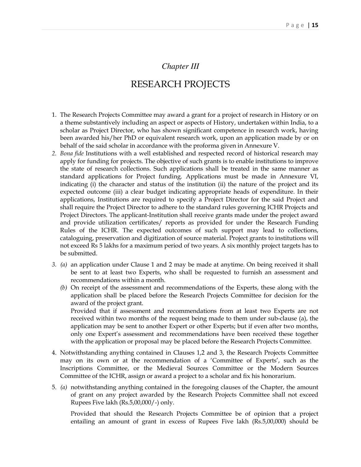## *Chapter III*

# RESEARCH PROJECTS

- 1. The Research Projects Committee may award a grant for a project of research in History or on a theme substantively including an aspect or aspects of History, undertaken within India, to a scholar as Project Director, who has shown significant competence in research work, having been awarded his/her PhD or equivalent research work, upon an application made by or on behalf of the said scholar in accordance with the proforma given in Annexure V.
- *2. Bona fide* Institutions with a well established and respected record of historical research may apply for funding for projects. The objective of such grants is to enable institutions to improve the state of research collections. Such applications shall be treated in the same manner as standard applications for Project funding. Applications must be made in Annexure VI, indicating (i) the character and status of the institution (ii) the nature of the project and its expected outcome (iii) a clear budget indicating appropriate heads of expenditure. In their applications, Institutions are required to specify a Project Director for the said Project and shall require the Project Director to adhere to the standard rules governing ICHR Projects and Project Directors. The applicant-Institution shall receive grants made under the project award and provide utilization certificates/ reports as provided for under the Research Funding Rules of the ICHR. The expected outcomes of such support may lead to collections, cataloguing, preservation and digitization of source material. Project grants to institutions will not exceed Rs 5 lakhs for a maximum period of two years. A six monthly project targets has to be submitted.
- *3. (a)* an application under Clause 1 and 2 may be made at anytime. On being received it shall be sent to at least two Experts, who shall be requested to furnish an assessment and recommendations within a month.
	- *(b)* On receipt of the assessment and recommendations of the Experts, these along with the application shall be placed before the Research Projects Committee for decision for the award of the project grant.

 Provided that if assessment and recommendations from at least two Experts are not received within two months of the request being made to them under sub-clause (a), the application may be sent to another Expert or other Experts; but if even after two months, only one Expert's assessment and recommendations have been received these together with the application or proposal may be placed before the Research Projects Committee.

- 4. Notwithstanding anything contained in Clauses 1,2 and 3, the Research Projects Committee may on its own or at the recommendation of a 'Committee of Experts', such as the Inscriptions Committee, or the Medieval Sources Committee or the Modern Sources Committee of the ICHR, assign or award a project to a scholar and fix his honorarium.
- 5. *(a)* notwithstanding anything contained in the foregoing clauses of the Chapter, the amount of grant on any project awarded by the Research Projects Committee shall not exceed Rupees Five lakh (Rs.5,00,000/-) only.

 Provided that should the Research Projects Committee be of opinion that a project entailing an amount of grant in excess of Rupees Five lakh (Rs.5,00,000) should be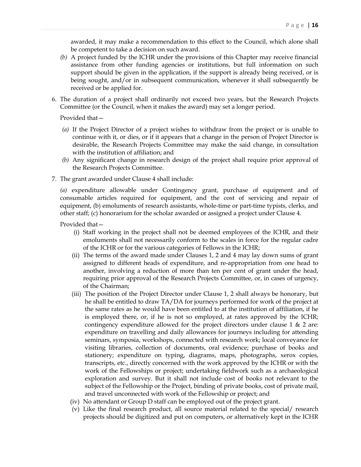awarded, it may make a recommendation to this effect to the Council, which alone shall be competent to take a decision on such award.

- *(b)* A project funded by the ICHR under the provisions of this Chapter may receive financial assistance from other funding agencies or institutions, but full information on such support should be given in the application, if the support is already being received, or is being sought, and/or in subsequent communication, whenever it shall subsequently be received or be applied for.
- 6. The duration of a project shall ordinarily not exceed two years, but the Research Projects Committee (or the Council, when it makes the award) may set a longer period.

Provided that—

- *(a)* If the Project Director of a project wishes to withdraw from the project or is unable to continue with it, or dies, or if it appears that a change in the person of Project Director is desirable, the Research Projects Committee may make the said change, in consultation with the institution of affiliation; and
- *(b)* Any significant change in research design of the project shall require prior approval of the Research Projects Committee.
- 7. The grant awarded under Clause 4 shall include:

 *(a)* expenditure allowable under Contingency grant, purchase of equipment and of consumable articles required for equipment, and the cost of servicing and repair of equipment, (b) emoluments of research assistants, whole-time or part-time typists, clerks, and other staff; (c) honorarium for the scholar awarded or assigned a project under Clause 4.

Provided that-

- (i) Staff working in the project shall not be deemed employees of the ICHR, and their emoluments shall not necessarily conform to the scales in force for the regular cadre of the ICHR or for the various categories of Fellows in the ICHR;
- (ii) The terms of the award made under Clauses 1, 2 and 4 may lay down sums of grant assigned to different heads of expenditure, and re-appropriation from one head to another, involving a reduction of more than ten per cent of grant under the head, requiring prior approval of the Research Projects Committee, or, in cases of urgency, of the Chairman;
- (iii) The position of the Project Director under Clause 1, 2 shall always be honorary, but he shall be entitled to draw TA/DA for journeys performed for work of the project at the same rates as he would have been entitled to at the institution of affiliation, if he is employed there, or, if he is not so employed, at rates approved by the ICHR; contingency expenditure allowed for the project directors under clause 1 & 2 are: expenditure on travelling and daily allowances for journeys including for attending seminars, symposia, workshops, connected with research work; local conveyance for visiting libraries, collection of documents, oral evidence; purchase of books and stationery; expenditure on typing, diagrams, maps, photographs, xerox copies, transcripts, etc., directly concerned with the work approved by the ICHR or with the work of the Fellowships or project; undertaking fieldwork such as a archaeological exploration and survey. But it shall not include cost of books not relevant to the subject of the Fellowship or the Project, binding of private books, cost of private mail, and travel unconnected with work of the Fellowship or project; and
- (iv) No attendant or Group D staff can be employed out of the project grant.
- (v) Like the final research product, all source material related to the special/ research projects should be digitized and put on computers, or alternatively kept in the ICHR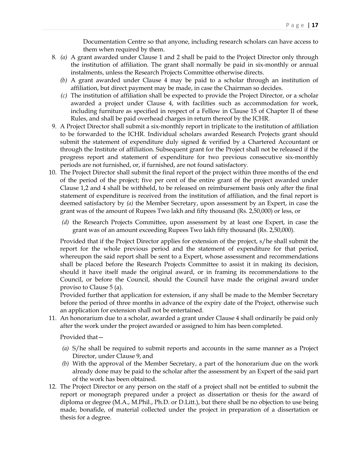Documentation Centre so that anyone, including research scholars can have access to them when required by them.

- 8*. (a)* A grant awarded under Clause 1 and 2 shall be paid to the Project Director only through the institution of affiliation. The grant shall normally be paid in six-monthly or annual instalments, unless the Research Projects Committee otherwise directs.
	- *(b)* A grant awarded under Clause 4 may be paid to a scholar through an institution of affiliation, but direct payment may be made, in case the Chairman so decides.
	- *(c)* The institution of affiliation shall be expected to provide the Project Director, or a scholar awarded a project under Clause 4, with facilities such as accommodation for work, including furniture as specified in respect of a Fellow in Clause 15 of Chapter II of these Rules, and shall be paid overhead charges in return thereof by the ICHR.
- 9. A Project Director shall submit a six-monthly report in triplicate to the institution of affiliation to be forwarded to the ICHR. Individual scholars awarded Research Projects grant should submit the statement of expenditure duly signed & verified by a Chartered Accountant or through the Institute of affiliation. Subsequent grant for the Project shall not be released if the progress report and statement of expenditure for two previous consecutive six-monthly periods are not furnished, or, if furnished, are not found satisfactory.
- 10. The Project Director shall submit the final report of the project within three months of the end of the period of the project; five per cent of the entire grant of the project awarded under Clause 1,2 and 4 shall be withheld, to be released on reimbursement basis only after the final statement of expenditure is received from the institution of affiliation, and the final report is deemed satisfactory by *(a)* the Member Secretary, upon assessment by an Expert, in case the grant was of the amount of Rupees Two lakh and fifty thousand (Rs. 2,50,000) or less, or
	- *(d)* the Research Projects Committee, upon assessment by at least one Expert, in case the grant was of an amount exceeding Rupees Two lakh fifty thousand (Rs. 2,50,000).

 Provided that if the Project Director applies for extension of the project, s/he shall submit the report for the whole previous period and the statement of expenditure for that period, whereupon the said report shall be sent to a Expert, whose assessment and recommendations shall be placed before the Research Projects Committee to assist it in making its decision, should it have itself made the original award, or in framing its recommendations to the Council, or before the Council, should the Council have made the original award under proviso to Clause 5 (a).

 Provided further that application for extension, if any shall be made to the Member Secretary before the period of three months in advance of the expiry date of the Project, otherwise such an application for extension shall not be entertained.

 11. An honorarium due to a scholar, awarded a grant under Clause 4 shall ordinarily be paid only after the work under the project awarded or assigned to him has been completed.

Provided that—

- *(a)* S/he shall be required to submit reports and accounts in the same manner as a Project Director, under Clause 9, and
- *(b)* With the approval of the Member Secretary, a part of the honorarium due on the work already done may be paid to the scholar after the assessment by an Expert of the said part of the work has been obtained.
- 12. The Project Director or any person on the staff of a project shall not be entitled to submit the report or monograph prepared under a project as dissertation or thesis for the award of diploma or degree (M.A., M.Phil., Ph.D. or D.Litt.), but there shall be no objection to use being made, bonafide, of material collected under the project in preparation of a dissertation or thesis for a degree.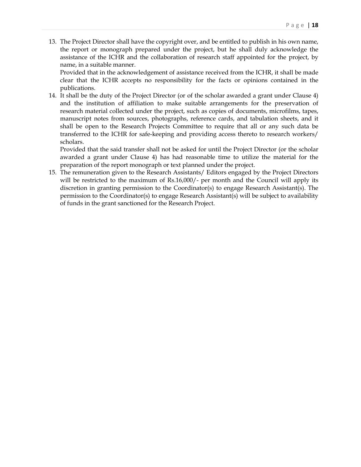13. The Project Director shall have the copyright over, and be entitled to publish in his own name, the report or monograph prepared under the project, but he shall duly acknowledge the assistance of the ICHR and the collaboration of research staff appointed for the project, by name, in a suitable manner.

 Provided that in the acknowledgement of assistance received from the ICHR, it shall be made clear that the ICHR accepts no responsibility for the facts or opinions contained in the publications.

 14. It shall be the duty of the Project Director (or of the scholar awarded a grant under Clause 4) and the institution of affiliation to make suitable arrangements for the preservation of research material collected under the project, such as copies of documents, microfilms, tapes, manuscript notes from sources, photographs, reference cards, and tabulation sheets, and it shall be open to the Research Projects Committee to require that all or any such data be transferred to the ICHR for safe-keeping and providing access thereto to research workers/ scholars.

 Provided that the said transfer shall not be asked for until the Project Director (or the scholar awarded a grant under Clause 4) has had reasonable time to utilize the material for the preparation of the report monograph or text planned under the project.

 15. The remuneration given to the Research Assistants/ Editors engaged by the Project Directors will be restricted to the maximum of Rs.16,000/- per month and the Council will apply its discretion in granting permission to the Coordinator(s) to engage Research Assistant(s). The permission to the Coordinator(s) to engage Research Assistant(s) will be subject to availability of funds in the grant sanctioned for the Research Project.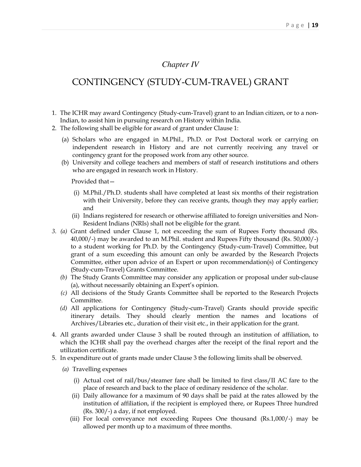# *Chapter IV*

# CONTINGENCY (STUDY-CUM-TRAVEL) GRANT

- 1. The ICHR may award Contingency (Study-cum-Travel) grant to an Indian citizen, or to a non-Indian, to assist him in pursuing research on History within India.
- 2. The following shall be eligible for award of grant under Clause 1:
	- (a) Scholars who are engaged in M.Phil., Ph.D. or Post Doctoral work or carrying on independent research in History and are not currently receiving any travel or contingency grant for the proposed work from any other source.
	- (b) University and college teachers and members of staff of research institutions and others who are engaged in research work in History.

Provided that—

- (i) M.Phil./Ph.D. students shall have completed at least six months of their registration with their University, before they can receive grants, though they may apply earlier; and
- (ii) Indians registered for research or otherwise affiliated to foreign universities and Non-Resident Indians (NRIs) shall not be eligible for the grant.
- *3. (a)* Grant defined under Clause 1, not exceeding the sum of Rupees Forty thousand (Rs. 40,000/-) may be awarded to an M.Phil. student and Rupees Fifty thousand (Rs. 50,000/-) to a student working for Ph.D. by the Contingency (Study-cum-Travel) Committee, but grant of a sum exceeding this amount can only be awarded by the Research Projects Committee, either upon advice of an Expert or upon recommendation(s) of Contingency (Study-cum-Travel) Grants Committee.
	- *(b)* The Study Grants Committee may consider any application or proposal under sub-clause (a), without necessarily obtaining an Expert's opinion.
	- *(c)* All decisions of the Study Grants Committee shall be reported to the Research Projects Committee.
	- *(d)* All applications for Contingency (Study-cum-Travel) Grants should provide specific itinerary details. They should clearly mention the names and locations of Archives/Libraries etc., duration of their visit etc., in their application for the grant.
- 4. All grants awarded under Clause 3 shall be routed through an institution of affiliation, to which the ICHR shall pay the overhead charges after the receipt of the final report and the utilization certificate.
- 5. In expenditure out of grants made under Clause 3 the following limits shall be observed.
	- *(a)* Travelling expenses
		- (i) Actual cost of rail/bus/steamer fare shall be limited to first class/II AC fare to the place of research and back to the place of ordinary residence of the scholar.
		- (ii) Daily allowance for a maximum of 90 days shall be paid at the rates allowed by the institution of affiliation, if the recipient is employed there, or Rupees Three hundred (Rs. 300/-) a day, if not employed.
		- (iii) For local conveyance not exceeding Rupees One thousand (Rs.1,000/-) may be allowed per month up to a maximum of three months.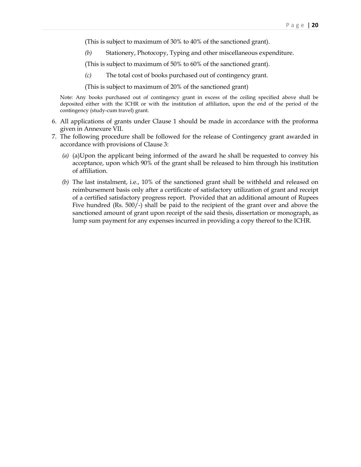(This is subject to maximum of 30% to 40% of the sanctioned grant).

*(b)* Stationery, Photocopy, Typing and other miscellaneous expenditure.

(This is subject to maximum of 50% to 60% of the sanctioned grant).

*(c)* The total cost of books purchased out of contingency grant.

(This is subject to maximum of 20% of the sanctioned grant)

 Note: Any books purchased out of contingency grant in excess of the ceiling specified above shall be deposited either with the ICHR or with the institution of affiliation, upon the end of the period of the contingency (study-cum travel) grant.

- 6. All applications of grants under Clause 1 should be made in accordance with the proforma given in Annexure VII.
- 7. The following procedure shall be followed for the release of Contingency grant awarded in accordance with provisions of Clause 3:
	- *(a)* (a)Upon the applicant being informed of the award he shall be requested to convey his acceptance, upon which 90% of the grant shall be released to him through his institution of affiliation.
	- *(b)* The last instalment, i.e., 10% of the sanctioned grant shall be withheld and released on reimbursement basis only after a certificate of satisfactory utilization of grant and receipt of a certified satisfactory progress report. Provided that an additional amount of Rupees Five hundred (Rs. 500/-) shall be paid to the recipient of the grant over and above the sanctioned amount of grant upon receipt of the said thesis, dissertation or monograph, as lump sum payment for any expenses incurred in providing a copy thereof to the ICHR.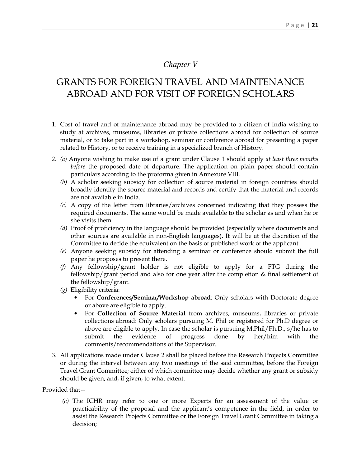# *Chapter V*

# GRANTS FOR FOREIGN TRAVEL AND MAINTENANCE ABROAD AND FOR VISIT OF FOREIGN SCHOLARS

- 1. Cost of travel and of maintenance abroad may be provided to a citizen of India wishing to study at archives, museums, libraries or private collections abroad for collection of source material, or to take part in a workshop, seminar or conference abroad for presenting a paper related to History, or to receive training in a specialized branch of History.
- *2. (a)* Anyone wishing to make use of a grant under Clause 1 should apply *at least three months before* the proposed date of departure. The application on plain paper should contain particulars according to the proforma given in Annexure VIII.
	- *(b)* A scholar seeking subsidy for collection of source material in foreign countries should broadly identify the source material and records and certify that the material and records are not available in India.
	- *(c)* A copy of the letter from libraries/archives concerned indicating that they possess the required documents. The same would be made available to the scholar as and when he or she visits them.
	- *(d)* Proof of proficiency in the language should be provided (especially where documents and other sources are available in non-English languages). It will be at the discretion of the Committee to decide the equivalent on the basis of published work of the applicant.
	- *(e)* Anyone seeking subsidy for attending a seminar or conference should submit the full paper he proposes to present there.
	- *(f)* Any fellowship/grant holder is not eligible to apply for a FTG during the fellowship/grant period and also for one year after the completion & final settlement of the fellowship/grant.
	- *(g)* Eligibility criteria:
		- For **Conferences/Seminar/Workshop abroad**: Only scholars with Doctorate degree or above are eligible to apply.
		- For **Collection of Source Material** from archives, museums, libraries or private collections abroad: Only scholars pursuing M. Phil or registered for Ph.D degree or above are eligible to apply. In case the scholar is pursuing M.Phil/Ph.D., s/he has to submit the evidence of progress done by her/him with the comments/recommendations of the Supervisor.
- 3. All applications made under Clause 2 shall be placed before the Research Projects Committee or during the interval between any two meetings of the said committee, before the Foreign Travel Grant Committee; either of which committee may decide whether any grant or subsidy should be given, and, if given, to what extent.

Provided that—

*(a)* The ICHR may refer to one or more Experts for an assessment of the value or practicability of the proposal and the applicant's competence in the field, in order to assist the Research Projects Committee or the Foreign Travel Grant Committee in taking a decision;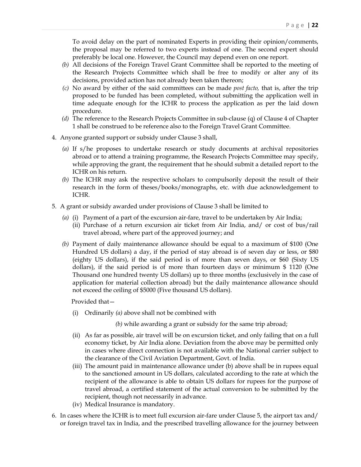To avoid delay on the part of nominated Experts in providing their opinion/comments, the proposal may be referred to two experts instead of one. The second expert should preferably be local one. However, the Council may depend even on one report.

- *(b)* All decisions of the Foreign Travel Grant Committee shall be reported to the meeting of the Research Projects Committee which shall be free to modify or alter any of its decisions, provided action has not already been taken thereon;
- *(c)* No award by either of the said committees can be made *post facto,* that is, after the trip proposed to be funded has been completed, without submitting the application well in time adequate enough for the ICHR to process the application as per the laid down procedure.
- *(d)* The reference to the Research Projects Committee in sub-clause (q) of Clause 4 of Chapter 1 shall be construed to be reference also to the Foreign Travel Grant Committee.
- 4. Anyone granted support or subsidy under Clause 3 shall,
	- *(a)* If s/he proposes to undertake research or study documents at archival repositories abroad or to attend a training programme, the Research Projects Committee may specify, while approving the grant, the requirement that he should submit a detailed report to the ICHR on his return.
	- *(b)* The ICHR may ask the respective scholars to compulsorily deposit the result of their research in the form of theses/books/monographs, etc. with due acknowledgement to ICHR.
- 5. A grant or subsidy awarded under provisions of Clause 3 shall be limited to
	- *(a)* (i) Payment of a part of the excursion air-fare, travel to be undertaken by Air India;
		- (ii) Purchase of a return excursion air ticket from Air India, and/ or cost of bus/rail travel abroad, where part of the approved journey; and
	- *(b)* Payment of daily maintenance allowance should be equal to a maximum of \$100 (One Hundred US dollars) a day, if the period of stay abroad is of seven day or less, or \$80 (eighty US dollars), if the said period is of more than seven days, or \$60 (Sixty US dollars), if the said period is of more than fourteen days or minimum \$ 1120 (One Thousand one hundred twenty US dollars) up to three months (exclusively in the case of application for material collection abroad) but the daily maintenance allowance should not exceed the ceiling of \$5000 (Five thousand US dollars).

Provided that—

(i) Ordinarily *(a)* above shall not be combined with

*(b)* while awarding a grant or subsidy for the same trip abroad;

- (ii) As far as possible, air travel will be on excursion ticket, and only failing that on a full economy ticket, by Air India alone. Deviation from the above may be permitted only in cases where direct connection is not available with the National carrier subject to the clearance of the Civil Aviation Department, Govt. of India.
- (iii) The amount paid in maintenance allowance under (b) above shall be in rupees equal to the sanctioned amount in US dollars, calculated according to the rate at which the recipient of the allowance is able to obtain US dollars for rupees for the purpose of travel abroad, a certified statement of the actual conversion to be submitted by the recipient, though not necessarily in advance.
- (iv) Medical Insurance is mandatory.
- 6. In cases where the ICHR is to meet full excursion air-fare under Clause 5, the airport tax and/ or foreign travel tax in India, and the prescribed travelling allowance for the journey between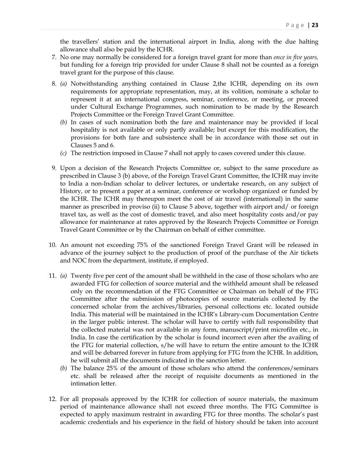the travellers' station and the international airport in India, along with the due halting allowance shall also be paid by the ICHR.

- 7. No one may normally be considered for a foreign travel grant for more than *once in five years,* but funding for a foreign trip provided for under Clause 8 shall not be counted as a foreign travel grant for the purpose of this clause.
- 8. *(a)* Notwithstanding anything contained in Clause 2,the ICHR, depending on its own requirements for appropriate representation, may, at its volition, nominate a scholar to represent it at an international congress, seminar, conference, or meeting, or proceed under Cultural Exchange Programmes, such nomination to be made by the Research Projects Committee or the Foreign Travel Grant Committee.
	- *(b)* In cases of such nomination both the fare and maintenance may be provided if local hospitality is not available or only partly available; but except for this modification, the provisions for both fare and subsistence shall be in accordance with those set out in Clauses 5 and 6.
	- *(c)* The restriction imposed in Clause 7 shall not apply to cases covered under this clause.
- 9. Upon a decision of the Research Projects Committee or, subject to the same procedure as prescribed in Clause 3 (b) above, of the Foreign Travel Grant Committee, the ICHR may invite to India a non-Indian scholar to deliver lectures, or undertake research, on any subject of History, or to present a paper at a seminar, conference or workshop organized or funded by the ICHR. The ICHR may thereupon meet the cost of air travel (international) in the same manner as prescribed in proviso (ii) to Clause 5 above, together with airport and/ or foreign travel tax, as well as the cost of domestic travel, and also meet hospitality costs and/or pay allowance for maintenance at rates approved by the Research Projects Committee or Foreign Travel Grant Committee or by the Chairman on behalf of either committee.
- 10. An amount not exceeding 75% of the sanctioned Foreign Travel Grant will be released in advance of the journey subject to the production of proof of the purchase of the Air tickets and NOC from the department, institute, if employed.
- 11. *(a)* Twenty five per cent of the amount shall be withheld in the case of those scholars who are awarded FTG for collection of source material and the withheld amount shall be released only on the recommendation of the FTG Committee or Chairman on behalf of the FTG Committee after the submission of photocopies of source materials collected by the concerned scholar from the archives/libraries, personal collections etc. located outside India. This material will be maintained in the ICHR's Library-cum Documentation Centre in the larger public interest. The scholar will have to certify with full responsibility that the collected material was not available in any form, manuscript/print microfilm etc., in India. In case the certification by the scholar is found incorrect even after the availing of the FTG for material collection, s/he will have to return the entire amount to the ICHR and will be debarred forever in future from applying for FTG from the ICHR. In addition, he will submit all the documents indicated in the sanction letter.
	- *(b)* The balance 25% of the amount of those scholars who attend the conferences/seminars etc. shall be released after the receipt of requisite documents as mentioned in the intimation letter.
- 12. For all proposals approved by the ICHR for collection of source materials, the maximum period of maintenance allowance shall not exceed three months. The FTG Committee is expected to apply maximum restraint in awarding FTG for three months. The scholar's past academic credentials and his experience in the field of history should be taken into account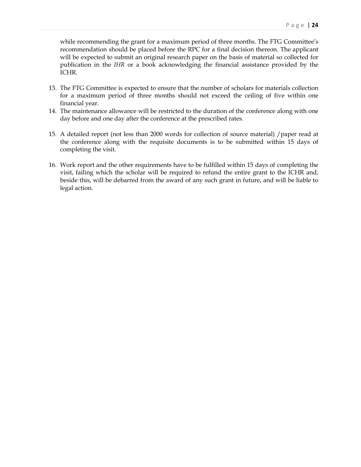while recommending the grant for a maximum period of three months. The FTG Committee's recommendation should be placed before the RPC for a final decision thereon. The applicant will be expected to submit an original research paper on the basis of material so collected for publication in the *IHR* or a book acknowledging the financial assistance provided by the ICHR.

- 13. The FTG Committee is expected to ensure that the number of scholars for materials collection for a maximum period of three months should not exceed the ceiling of five within one financial year.
- 14. The maintenance allowance will be restricted to the duration of the conference along with one day before and one day after the conference at the prescribed rates.
- 15. A detailed report (not less than 2000 words for collection of source material) /paper read at the conference along with the requisite documents is to be submitted within 15 days of completing the visit.
- 16. Work report and the other requirements have to be fulfilled within 15 days of completing the visit, failing which the scholar will be required to refund the entire grant to the ICHR and, beside this, will be debarred from the award of any such grant in future, and will be liable to legal action.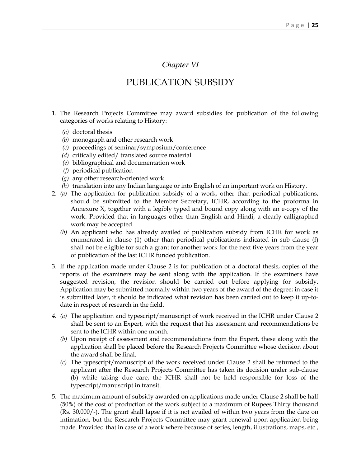## *Chapter VI*

# PUBLICATION SUBSIDY

- 1. The Research Projects Committee may award subsidies for publication of the following categories of works relating to History:
	- *(a)* doctoral thesis
	- *(b)* monograph and other research work
	- *(c)* proceedings of seminar/symposium/conference
	- *(d)* critically edited/ translated source material
	- *(e)* bibliographical and documentation work
	- *(f)* periodical publication
	- *(g)* any other research-oriented work
	- *(h)* translation into any Indian language or into English of an important work on History.
- 2. *(a)* The application for publication subsidy of a work, other than periodical publications, should be submitted to the Member Secretary, ICHR, according to the proforma in Annexure X, together with a legibly typed and bound copy along with an e-copy of the work. Provided that in languages other than English and Hindi, a clearly calligraphed work may be accepted.
	- *(b)* An applicant who has already availed of publication subsidy from ICHR for work as enumerated in clause (1) other than periodical publications indicated in sub clause (f) shall not be eligible for such a grant for another work for the next five years from the year of publication of the last ICHR funded publication.
- 3. If the application made under Clause 2 is for publication of a doctoral thesis, copies of the reports of the examiners may be sent along with the application. If the examiners have suggested revision, the revision should be carried out before applying for subsidy. Application may be submitted normally within two years of the award of the degree; in case it is submitted later, it should be indicated what revision has been carried out to keep it up-todate in respect of research in the field.
- *4. (a)* The application and typescript/manuscript of work received in the ICHR under Clause 2 shall be sent to an Expert, with the request that his assessment and recommendations be sent to the ICHR within one month.
	- *(b)* Upon receipt of assessment and recommendations from the Expert, these along with the application shall be placed before the Research Projects Committee whose decision about the award shall be final.
	- *(c)* The typescript/manuscript of the work received under Clause 2 shall be returned to the applicant after the Research Projects Committee has taken its decision under sub-clause (b) while taking due care, the ICHR shall not be held responsible for loss of the typescript/manuscript in transit.
- 5. The maximum amount of subsidy awarded on applications made under Clause 2 shall be half (50%) of the cost of production of the work subject to a maximum of Rupees Thirty thousand (Rs. 30,000/-). The grant shall lapse if it is not availed of within two years from the date on intimation, but the Research Projects Committee may grant renewal upon application being made. Provided that in case of a work where because of series, length, illustrations, maps, etc.,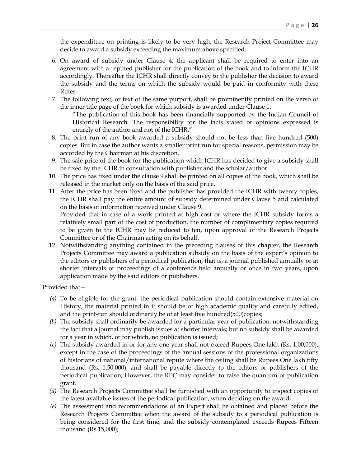the expenditure on printing is likely to be very high, the Research Project Committee may decide to award a subsidy exceeding the maximum above specified.

- 6. On award of subsidy under Clause 4, the applicant shall be required to enter into an agreement with a reputed publisher for the publication of the book and to inform the ICHR accordingly. Thereafter the ICHR shall directly convey to the publisher the decision to award the subsidy and the terms on which the subsidy would be paid in conformity with these Rules.
- 7. The following text, or text of the same purport, shall be prominently printed on the verso of the inner title page of the book for which subsidy is awarded under Clause 1:

 "The publication of this book has been financially supported by the Indian Council of Historical Research. The responsibility for the facts stated or opinions expressed is entirely of the author and not of the ICHR."

- 8. The print run of any book awarded a subsidy should not be less than five hundred (500) copies. But in case the author wants a smaller print run for special reasons, permission may be accorded by the Chairman at his discretion.
- 9. The sale price of the book for the publication which ICHR has decided to give a subsidy shall be fixed by the ICHR in consultation with publisher and the scholar/author.
- 10. The price has fixed under the clause 9 shall be printed on all copies of the book, which shall be released in the market only on the basis of the said price.
- 11. After the price has been fixed and the publisher has provided the ICHR with twenty copies, the ICHR shall pay the entire amount of subsidy determined under Clause 5 and calculated on the basis of information received under Clause 9.

 Provided that in case of a work printed at high cost or where the ICHR subsidy forms a relatively small part of the cost of production, the number of complimentary copies required to be given to the ICHR may be reduced to ten, upon approval of the Research Projects Committee or of the Chairman acting on its behalf.

 12. Notwithstanding anything contained in the preceding clauses of this chapter, the Research Projects Committee may award a publication subsidy on the basis of the expert's opinion to the editors or publishers of a periodical publication, that is, a journal published annually or at shorter intervals or proceedings of a conference held annually or once in two years, upon application made by the said editors or publishers.

Provided that—

- *(a)* To be eligible for the grant, the periodical publication should contain extensive material on History, the material printed in it should be of high academic quality and carefully edited, and the print-run should ordinarily be of at least five hundred(500)copies;
- *(b)* The subsidy shall ordinarily be awarded for a particular year of publication, notwithstanding the fact that a journal may publish issues at shorter intervals; but no subsidy shall be awarded for a year in which, or for which, no publication is issued;
- *(c)* The subsidy awarded in or for any one year shall not exceed Rupees One lakh (Rs. 1,00,000), except in the case of the proceedings of the annual sessions of the professional organizations of historians of national/international repute where the ceiling shall be Rupees One lakh fifty thousand (Rs. 1,50,000), and shall be payable directly to the editors or publishers of the periodical publication; However, the RPC may consider to raise the quantum of publication grant.
- *(d)* The Research Projects Committee shall be furnished with an opportunity to inspect copies of the latest available issues of the periodical publication, when deciding on the award;
- *(e)* The assessment and recommendations of an Expert shall be obtained and placed before the Research Projects Committee when the award of the subsidy to a periodical publication is being considered for the first time, and the subsidy contemplated exceeds Rupees Fifteen thousand (Rs.15,000);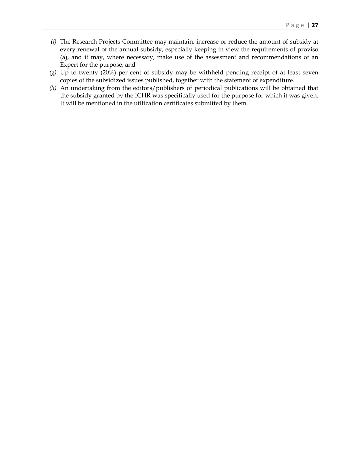- *(f)* The Research Projects Committee may maintain, increase or reduce the amount of subsidy at every renewal of the annual subsidy, especially keeping in view the requirements of proviso (a), and it may, where necessary, make use of the assessment and recommendations of an Expert for the purpose; and
- *(g)* Up to twenty (20%) per cent of subsidy may be withheld pending receipt of at least seven copies of the subsidized issues published, together with the statement of expenditure.
- *(h)* An undertaking from the editors/publishers of periodical publications will be obtained that the subsidy granted by the ICHR was specifically used for the purpose for which it was given. It will be mentioned in the utilization certificates submitted by them.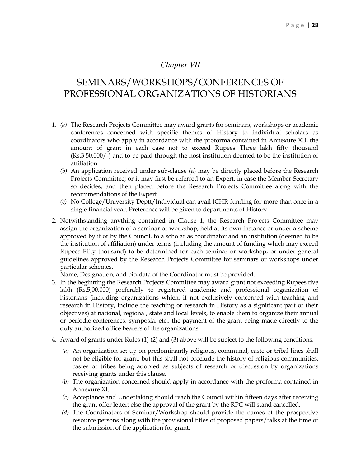## *Chapter VII*

# SEMINARS/WORKSHOPS/CONFERENCES OF PROFESSIONAL ORGANIZATIONS OF HISTORIANS

- 1. *(a)* The Research Projects Committee may award grants for seminars, workshops or academic conferences concerned with specific themes of History to individual scholars as coordinators who apply in accordance with the proforma contained in Annexure XII, the amount of grant in each case not to exceed Rupees Three lakh fifty thousand (Rs.3,50,000/-) and to be paid through the host institution deemed to be the institution of affiliation.
	- *(b)* An application received under sub-clause (a) may be directly placed before the Research Projects Committee; or it may first be referred to an Expert, in case the Member Secretary so decides, and then placed before the Research Projects Committee along with the recommendations of the Expert.
	- *(c)* No College/University Deptt/Individual can avail ICHR funding for more than once in a single financial year. Preference will be given to departments of History.
- 2. Notwithstanding anything contained in Clause 1, the Research Projects Committee may assign the organization of a seminar or workshop, held at its own instance or under a scheme approved by it or by the Council, to a scholar as coordinator and an institution (deemed to be the institution of affiliation) under terms (including the amount of funding which may exceed Rupees Fifty thousand) to be determined for each seminar or workshop, or under general guidelines approved by the Research Projects Committee for seminars or workshops under particular schemes.

Name, Designation, and bio-data of the Coordinator must be provided.

- 3. In the beginning the Research Projects Committee may award grant not exceeding Rupees five lakh (Rs.5,00,000) preferably to registered academic and professional organization of historians (including organizations which, if not exclusively concerned with teaching and research in History, include the teaching or research in History as a significant part of their objectives) at national, regional, state and local levels, to enable them to organize their annual or periodic conferences, symposia, etc., the payment of the grant being made directly to the duly authorized office bearers of the organizations.
- 4. Award of grants under Rules (1) (2) and (3) above will be subject to the following conditions:
	- *(a)* An organization set up on predominantly religious, communal, caste or tribal lines shall not be eligible for grant; but this shall not preclude the history of religious communities, castes or tribes being adopted as subjects of research or discussion by organizations receiving grants under this clause.
	- *(b)* The organization concerned should apply in accordance with the proforma contained in Annexure XI.
	- *(c)* Acceptance and Undertaking should reach the Council within fifteen days after receiving the grant offer letter; else the approval of the grant by the RPC will stand cancelled.
	- *(d)* The Coordinators of Seminar/Workshop should provide the names of the prospective resource persons along with the provisional titles of proposed papers/talks at the time of the submission of the application for grant.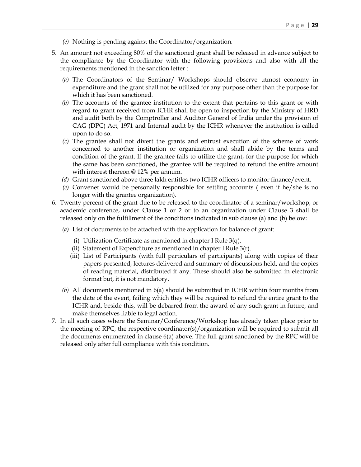- *(e)* Nothing is pending against the Coordinator/organization*.*
- 5. An amount not exceeding 80% of the sanctioned grant shall be released in advance subject to the compliance by the Coordinator with the following provisions and also with all the requirements mentioned in the sanction letter :
	- *(a)* The Coordinators of the Seminar/ Workshops should observe utmost economy in expenditure and the grant shall not be utilized for any purpose other than the purpose for which it has been sanctioned.
	- *(b)* The accounts of the grantee institution to the extent that pertains to this grant or with regard to grant received from ICHR shall be open to inspection by the Ministry of HRD and audit both by the Comptroller and Auditor General of India under the provision of CAG (DPC) Act, 1971 and Internal audit by the ICHR whenever the institution is called upon to do so.
	- *(c)* The grantee shall not divert the grants and entrust execution of the scheme of work concerned to another institution or organization and shall abide by the terms and condition of the grant. If the grantee fails to utilize the grant, for the purpose for which the same has been sanctioned, the grantee will be required to refund the entire amount with interest thereon @ 12% per annum.
	- *(d)* Grant sanctioned above three lakh entitles two ICHR officers to monitor finance/event.
	- *(e)* Convener would be personally responsible for settling accounts ( even if he/she is no longer with the grantee organization).
- 6. Twenty percent of the grant due to be released to the coordinator of a seminar/workshop, or academic conference, under Clause 1 or 2 or to an organization under Clause 3 shall be released only on the fulfillment of the conditions indicated in sub clause (a) and (b) below:
	- *(a)* List of documents to be attached with the application for balance of grant:
		- (i) Utilization Certificate as mentioned in chapter I Rule 3(q).
		- (ii) Statement of Expenditure as mentioned in chapter I Rule  $3(r)$ .
		- (iii) List of Participants (with full particulars of participants) along with copies of their papers presented, lectures delivered and summary of discussions held, and the copies of reading material, distributed if any. These should also be submitted in electronic format but, it is not mandatory.
	- *(b)* All documents mentioned in 6(a) should be submitted in ICHR within four months from the date of the event, failing which they will be required to refund the entire grant to the ICHR and, beside this, will be debarred from the award of any such grant in future, and make themselves liable to legal action.
- 7. In all such cases where the Seminar/Conference/Workshop has already taken place prior to the meeting of RPC, the respective coordinator(s)/organization will be required to submit all the documents enumerated in clause 6(a) above. The full grant sanctioned by the RPC will be released only after full compliance with this condition.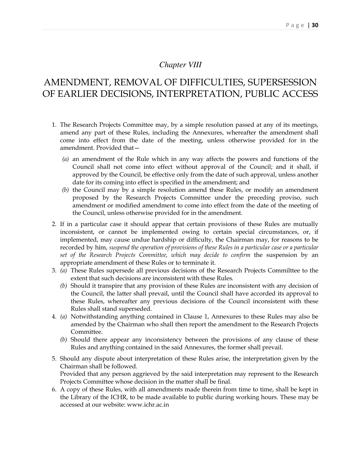### *Chapter VIII*

# AMENDMENT, REMOVAL OF DIFFICULTIES, SUPERSESSION OF EARLIER DECISIONS, INTERPRETATION, PUBLIC ACCESS

- 1. The Research Projects Committee may, by a simple resolution passed at any of its meetings, amend any part of these Rules, including the Annexures, whereafter the amendment shall come into effect from the date of the meeting, unless otherwise provided for in the amendment. Provided that—
	- *(a)* an amendment of the Rule which in any way affects the powers and functions of the Council shall not come into effect without approval of the Council; and it shall, if approved by the Council, be effective only from the date of such approval, unless another date for its coming into effect is specified in the amendment; and
	- *(b)* the Council may by a simple resolution amend these Rules, or modify an amendment proposed by the Research Projects Committee under the preceding proviso, such amendment or modified amendment to come into effect from the date of the meeting of the Council, unless otherwise provided for in the amendment.
- 2. If in a particular case it should appear that certain provisions of these Rules are mutually inconsistent, or cannot be implemented owing to certain special circumstances, or, if implemented, may cause undue hardship or difficulty, the Chairman may, for reasons to be recorded by him, *suspend the operation of provisions of these Rules in a particular case or a particular set of the Research Projects Committee, which may decide to confirm* the suspension by an appropriate amendment of these Rules or to terminate it.
- 3. *(a)* These Rules supersede all previous decisions of the Research Projects Commilttee to the extent that such decisions are inconsistent with these Rules.
	- *(b)* Should it transpire that any provision of these Rules are inconsistent with any decision of the Council, the latter shall prevail, until the Council shall have accorded its approval to these Rules, whereafter any previous decisions of the Council inconsistent with these Rules shall stand superseded.
- 4. *(a)* Notwithstanding anything contained in Clause 1, Annexures to these Rules may also be amended by the Chairman who shall then report the amendment to the Research Projects Committee.
	- *(b)* Should there appear any inconsistency between the provisions of any clause of these Rules and anything contained in the said Annexures, the former shall prevail.
- 5. Should any dispute about interpretation of these Rules arise, the interpretation given by the Chairman shall be followed. Provided that any person aggrieved by the said interpretation may represent to the Research Projects Committee whose decision in the matter shall be final.
- 6. A copy of these Rules, with all amendments made therein from time to time, shall be kept in the Library of the ICHR, to be made available to public during working hours. These may be accessed at our website: www.ichr.ac.in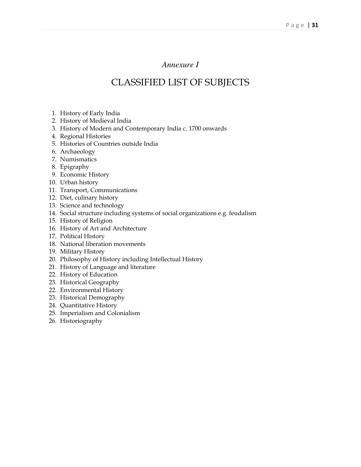# *Annexure I*

# CLASSIFIED LIST OF SUBJECTS

- 1. History of Early India
- 2. History of Medieval India
- 3. History of Modern and Contemporary India c. 1700 onwards
- 4. Regional Histories
- 5. Histories of Countries outside India
- 6. Archaeology
- 7. Numismatics
- 8. Epigraphy
- 9. Economic History
- 10. Urban history
- 11. Transport, Communications
- 12. Diet, culinary history
- 13. Science and technology
- 14. Social structure including systems of social organizations e.g. feudalism
- 15. History of Religion
- 16. History of Art and Architecture
- 17. Political History
- 18. National liberation movements
- 19. Military History
- 20. Philosophy of History including Intellectual History
- 21. History of Language and literature
- 22. History of Education
- 23. Historical Geography
- 22. Environmental History
- 23. Historical Demography
- 24. Quantitative History
- 25. Imperialism and Colonialism
- 26. Historiography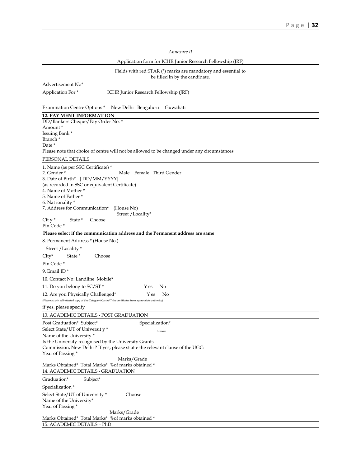| Annexure II                                                                                                                                                                                                                                                                                                                                                                                                                                                                                                                                                                                                                                                                                                                                                                                                                                            |
|--------------------------------------------------------------------------------------------------------------------------------------------------------------------------------------------------------------------------------------------------------------------------------------------------------------------------------------------------------------------------------------------------------------------------------------------------------------------------------------------------------------------------------------------------------------------------------------------------------------------------------------------------------------------------------------------------------------------------------------------------------------------------------------------------------------------------------------------------------|
| Application form for ICHR Junior Research Fellowship (JRF)                                                                                                                                                                                                                                                                                                                                                                                                                                                                                                                                                                                                                                                                                                                                                                                             |
| Fields with red STAR $(*)$ marks are mandatory and essential to<br>be filled in by the candidate.                                                                                                                                                                                                                                                                                                                                                                                                                                                                                                                                                                                                                                                                                                                                                      |
| Advertisement No*                                                                                                                                                                                                                                                                                                                                                                                                                                                                                                                                                                                                                                                                                                                                                                                                                                      |
| Application For*<br>ICHR Junior Research Fellowship (JRF)                                                                                                                                                                                                                                                                                                                                                                                                                                                                                                                                                                                                                                                                                                                                                                                              |
| New Delhi Bengaluru<br><b>Examination Centre Options*</b><br>Guwahati                                                                                                                                                                                                                                                                                                                                                                                                                                                                                                                                                                                                                                                                                                                                                                                  |
| <b>12. PAY MENT INFORMAT ION</b>                                                                                                                                                                                                                                                                                                                                                                                                                                                                                                                                                                                                                                                                                                                                                                                                                       |
| DD/Bankers Cheque/Pay Order No. *<br>Amount*                                                                                                                                                                                                                                                                                                                                                                                                                                                                                                                                                                                                                                                                                                                                                                                                           |
| Issuing Bank *<br>Branch*                                                                                                                                                                                                                                                                                                                                                                                                                                                                                                                                                                                                                                                                                                                                                                                                                              |
| Date *<br>Please note that choice of centre will not be allowed to be changed under any circumstances                                                                                                                                                                                                                                                                                                                                                                                                                                                                                                                                                                                                                                                                                                                                                  |
| PERSONAL DETAILS                                                                                                                                                                                                                                                                                                                                                                                                                                                                                                                                                                                                                                                                                                                                                                                                                                       |
| 1. Name (as per SSC Certificate) *<br>2. Gender *<br>Male Female Third Gender<br>3. Date of Birth* - [DD/MM/YYYY]<br>(as recorded in SSC or equivalent Certificate)<br>4. Name of Mother *<br>5. Name of Father *<br>6. Nat ionality *<br>7. Address for Communication*<br>(House No)<br>Street / Locality*<br>$Cit y^*$<br>State *<br>Choose<br>Pin Code *<br>Please select if the communication address and the Permanent address are same<br>8. Permanent Address * (House No.)<br>Street / Locality *<br>$City*$<br>Choose<br>State *<br>Pin Code *<br>9. Email ID $*$<br>10. Contact No: Landline Mobile*<br>No<br>11. Do you belong to SC/ST *<br>Y es<br>12. Are you Physically Challenged*<br>Y es<br>No<br>(Please att ach self-attested copy of the Category/Cast e/Tribe certificates from appropriate authority)<br>if yes, please specify |
|                                                                                                                                                                                                                                                                                                                                                                                                                                                                                                                                                                                                                                                                                                                                                                                                                                                        |
| 13. ACADEMIC DETAILS - POST GRADUATION                                                                                                                                                                                                                                                                                                                                                                                                                                                                                                                                                                                                                                                                                                                                                                                                                 |
| Post Graduation* Subject*<br>Specialization*<br>Select State/UT of University*<br>Choose                                                                                                                                                                                                                                                                                                                                                                                                                                                                                                                                                                                                                                                                                                                                                               |
| Name of the University *<br>Is the University recognised by the University Grants<br>Commission, New Delhi ? If yes, please st at e the relevant clause of the UGC:<br>Year of Passing *<br>Marks/Grade                                                                                                                                                                                                                                                                                                                                                                                                                                                                                                                                                                                                                                                |
| Marks Obtained* Total Marks* %of marks obtained *                                                                                                                                                                                                                                                                                                                                                                                                                                                                                                                                                                                                                                                                                                                                                                                                      |
| 14. ACADEMIC DETAILS - GRADUATION                                                                                                                                                                                                                                                                                                                                                                                                                                                                                                                                                                                                                                                                                                                                                                                                                      |
| Graduation*<br>Subject*                                                                                                                                                                                                                                                                                                                                                                                                                                                                                                                                                                                                                                                                                                                                                                                                                                |
| Specialization*                                                                                                                                                                                                                                                                                                                                                                                                                                                                                                                                                                                                                                                                                                                                                                                                                                        |
| Choose<br>Select State/UT of University *<br>Name of the University*<br>Year of Passing *                                                                                                                                                                                                                                                                                                                                                                                                                                                                                                                                                                                                                                                                                                                                                              |
| Marks/Grade<br>Marks Obtained* Total Marks* %of marks obtained *<br>15. ACADEMIC DETAILS - PhD                                                                                                                                                                                                                                                                                                                                                                                                                                                                                                                                                                                                                                                                                                                                                         |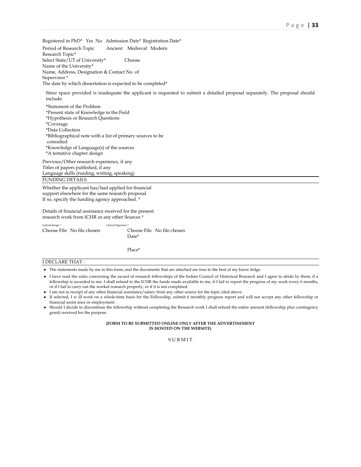Registered in PhD\* Yes No Admission Date\* Registration Date\* Period of Research Topic Ancient Medieval Modern Research Topic\* Select State/UT of University\* Choose Name of the University\* Name, Address, Designation & Contact No. of Supervisor \* The date by which dissertation is expected to be completed\*

Since space provided is inadequate the applicant is requested to submit a detailed proposal separately. The proposal should include:

\*Statement of the Problem \*Present state of Knowledge in the Field \*Hypothesis or Research Questions \*Coverage \*Data Collection \*Bibliographical note with a list of primary sources to be consulted \*Knowledge of Language(s) of the sources \*A tentative chapter design Previous/Other research experience, if any

Titles of papers published, if any Language skills (reading, writing, speaking) FUNDING DETAILS

Whether the applicant has/had applied for financial support elsewhere for the same research proposal. If so, specify the funding agency approached. \*

Details of financial assistance received for the present research work from ICHR or any other Sources \*

| Upload Image* |                            | Upload Signature* |                            |
|---------------|----------------------------|-------------------|----------------------------|
|               | Choose File No file chosen |                   | Choose File No file chosen |
|               |                            | Date*             |                            |

Place\*

### I DECLARE THAT :

- The statements made by me in this form, and the documents that are attached are true to the best of my know ledge.
- I have read the rules concerning the award of research fellowships of the Indian Council of Historical Research and I agree to abide by them, if a fellowship is awarded to me. I shall refund to the ICHR the funds made available to me, if I fail to report the progress of my work every 6 months, or if I fail to carry out the workof research properly, or if it is not completed.
- I am not in receipt of any other financial assistance/salary from any other source for the topic cited above.
- If selected, I w ill work on a whole-time basis for the Fellowship, submit 6 monthly progress report and will not accept any other fellowship or financial assist ance or employment .
- Should I decide to discontinue the fellowship without completing the Research work I shall refund the entire amount (fellowship plus contingency grant) received for the purpose.

#### **(FORM TO BE SUBMITTED ONLINE ONLY AFTER THE ADVERTISEMENT IS HOSTED ON THE WEBSITE)**

S U B M I T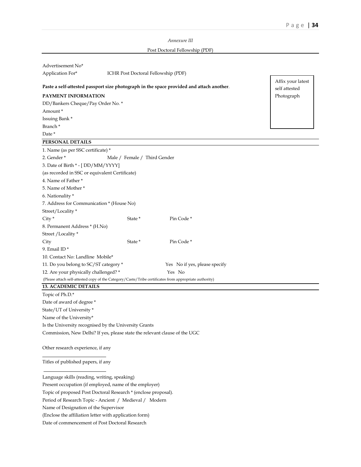*Annexure III*

### Post Doctoral Fellowship (PDF)

| Advertisement No*                                                                                      |                                                                        |                                                                                          |                                    |  |  |
|--------------------------------------------------------------------------------------------------------|------------------------------------------------------------------------|------------------------------------------------------------------------------------------|------------------------------------|--|--|
| Application For*                                                                                       | ICHR Post Doctoral Fellowship (PDF)                                    |                                                                                          |                                    |  |  |
|                                                                                                        |                                                                        | Paste a self-attested passport size photograph in the space provided and attach another. | Affix your latest<br>self attested |  |  |
| PAYMENT INFORMATION                                                                                    |                                                                        |                                                                                          | Photograph                         |  |  |
| DD/Bankers Cheque/Pay Order No. *                                                                      |                                                                        |                                                                                          |                                    |  |  |
| Amount*                                                                                                |                                                                        |                                                                                          |                                    |  |  |
| Issuing Bank *                                                                                         |                                                                        |                                                                                          |                                    |  |  |
| Branch <sup>*</sup>                                                                                    |                                                                        |                                                                                          |                                    |  |  |
| Date *                                                                                                 |                                                                        |                                                                                          |                                    |  |  |
| PERSONAL DETAILS                                                                                       |                                                                        |                                                                                          |                                    |  |  |
| 1. Name (as per SSC certificate) *                                                                     |                                                                        |                                                                                          |                                    |  |  |
| 2. Gender*                                                                                             | Male / Female / Third Gender                                           |                                                                                          |                                    |  |  |
| 3. Date of Birth * - [DD/MM/YYYY]                                                                      |                                                                        |                                                                                          |                                    |  |  |
| (as recorded in SSC or equivalent Certificate)                                                         |                                                                        |                                                                                          |                                    |  |  |
| 4. Name of Father *                                                                                    |                                                                        |                                                                                          |                                    |  |  |
| 5. Name of Mother *                                                                                    |                                                                        |                                                                                          |                                    |  |  |
| 6. Nationality *                                                                                       |                                                                        |                                                                                          |                                    |  |  |
| 7. Address for Communication * (House No)                                                              |                                                                        |                                                                                          |                                    |  |  |
| Street/Locality*                                                                                       |                                                                        |                                                                                          |                                    |  |  |
| $City *$                                                                                               | State *                                                                | Pin Code*                                                                                |                                    |  |  |
| 8. Permanent Address * (H.No)                                                                          |                                                                        |                                                                                          |                                    |  |  |
| Street / Locality *                                                                                    |                                                                        |                                                                                          |                                    |  |  |
| City                                                                                                   | State *                                                                | Pin Code*                                                                                |                                    |  |  |
| 9. Email ID <sup>*</sup>                                                                               |                                                                        |                                                                                          |                                    |  |  |
| 10. Contact No: Landline Mobile*                                                                       |                                                                        |                                                                                          |                                    |  |  |
|                                                                                                        | 11. Do you belong to SC/ST category *<br>Yes No if yes, please specify |                                                                                          |                                    |  |  |
|                                                                                                        | Yes No<br>12. Are your physically challenged? *                        |                                                                                          |                                    |  |  |
| (Please attach self-attested copy of the Category/Caste/Tribe certificates from appropriate authority) |                                                                        |                                                                                          |                                    |  |  |

### **13. ACADEMIC DETAILS**

Topic of Ph.D.\* Date of award of degree \* State/UT of University \* Name of the University\* Is the University recognised by the University Grants Commission, New Delhi? If yes, please state the relevant clause of the UGC

Other research experience, if any

 $\overline{a}$ 

Titles of published papers, if any

Language skills (reading, writing, speaking)

Present occupation (if employed, name of the employer)

Topic of proposed Post Doctoral Research \* (enclose proposal).

Period of Research Topic - Ancient / Medieval / Modern

Name of Designation of the Supervisor

Date of commencement of Post Doctoral Research

<sup>(</sup>Enclose the affiliation letter with application form)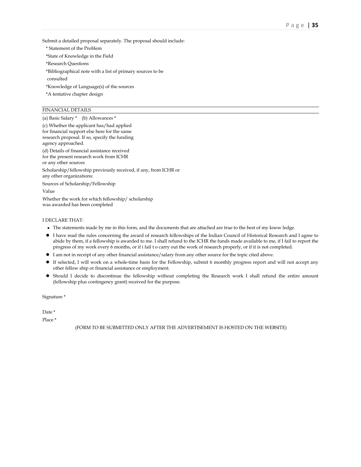Submit a detailed proposal separately. The proposal should include:

\* Statement of the Problem

\*State of Knowledge in the Field

- \*Research Questions
- \*Bibliographical note with a list of primary sources to be

consulted

\*Knowledge of Language(s) of the sources

\*A tentative chapter design

### FINANCIAL DETAILS

(a) Basic Salary \* (b) Allowances \*

(c) Whether the applicant has/had applied for financial support else here for the same research proposal. If so, specify the funding agency approached. (d) Details of financial assistance received for the present research work from ICHR

or any other sources Scholarship/fellowship previously received, if any, from ICHR or any other organizations: Sources of Scholarship/Fellowship Value

Whether the work for which fellowship/ scholarship was awarded has been completed

### I DECLARE THAT:

- The statements made by me in this form, and the documents that are attached are true to the best of my know ledge.
- I have read the rules concerning the award of research fellowships of the Indian Council of Historical Research and I agree to abide by them, if a fellowship is awarded to me. I shall refund to the ICHR the funds made available to me, if I fail to report the progress of my work every 6 months, or if i fail t o carry out the work of research properly, or if it is not completed.
- I am not in receipt of any other financial assistance/salary from any other source for the topic cited above.
- $\bullet$  If selected, I will work on a whole-time basis for the Fellowship, submit 6 monthly progress report and will not accept any other fellow ship or financial assistance or employment.
- Should I decide to discontinue the fellowship without completing the Research work I shall refund the entire amount (fellowship plus contingency grant) received for the purpose.

Signature \*

Date \*

Place \*

(FORM TO BE SUBMITTED ONLY AFTER THE ADVERTISEMENT IS HOSTED ON THE WEBSITE)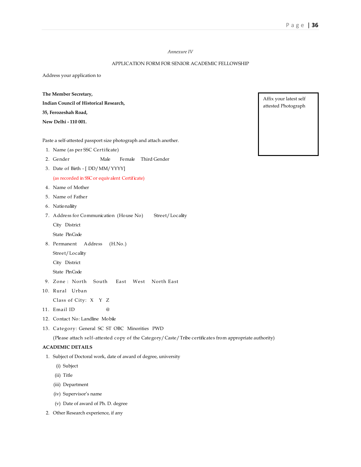### *Annexure IV*

### APPLICATION FORM FOR SENIOR ACADEMIC FELLOWSHIP

Address your application to

**The Member Secretary,** 

**Indian Council of Historical Research, 35, Ferozeshah Road, New Delhi - 110 001.** 

Paste a self-attested passport size photograph and attach another.

- 1. Name (as per SSC Certificate)
- 2. Gender Male Female Third Gender
- 3. Date of Birth [ DD/MM/YYYY] (as recorded in SSC or equivalent Certificate)
- 4. Name of Mother
- 5. Name of Father
- 6. Nationaliity
- 7. Address for Communication (House No) Street/Locality
	- City District
	- State Pin Code
- 8. Permanent Address (H.No.)
	- Street/Locality
	- City District
	- State Pin Code
- 9. Zone : North South East West North East
- 10. Rural Urban
	- Class of City: X Y Z
- 11. Email ID @
- 12. Contact No: Landline Mobile
- 13. Category: General SC ST OBC Minorities PWD

(Please attach self-attested copy of the Category/Caste/Tribe certificates from appropriate authority)

### **ACADEMIC DETAILS**

- 1. Subject of Doctoral work, date of award of degree, university
	- (i) Subject
	- (ii) Title
	- (iii) Department
	- (iv) Supervisor's name
	- (v) Date of award of Ph. D. degree
- 2. Other Research experience, if any

Affix your latest self attested Photograph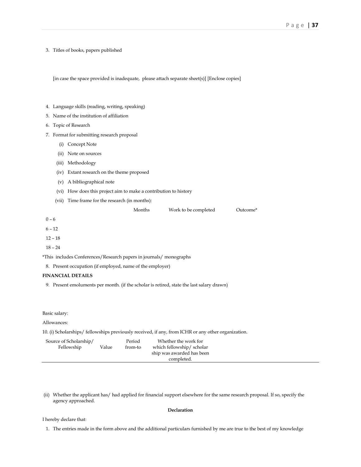3. Titles of books, papers published

[in case the space provided is inadequate, please attach separate sheet(s)] [Enclose copies]

- 4. Language skills (reading, writing, speaking)
- 5. Name of the institution of affiliation
- 6. Topic of Research
- 7. Format for submitting research proposal
	- (i) Concept Note
	- (ii) Note on sources
	- (iii) Methodology
	- (iv) Extant research on the theme proposed
	- (v) A bibliographical note
	- (vi) How does this project aim to make a contribution to history
	- (vii) Time frame for the research (in months):

| Months | Work to be completed | Outcome* |
|--------|----------------------|----------|
|--------|----------------------|----------|

 $0 - 6$ 

6 – 12

12 – 18

18 – 24

\*This includes Conferences/Research papers in journals/ monographs

8. Present occupation (if employed, name of the employer)

### **FINANCIAL DETAILS**

9. Present emoluments per month. (if the scholar is retired, state the last salary drawn)

Basic salary:

Allowances:

10. (i) Scholarships/ fellowships previously received, if any, from ICHR or any other organization.

| Source of Scholarship/ |       | Period  | Whether the work for      |  |
|------------------------|-------|---------|---------------------------|--|
| Fellowship             | Value | from-to | which fellowship/scholar  |  |
|                        |       |         | ship was awarded has been |  |
|                        |       |         | completed.                |  |

 (ii) Whether the applicant has/ had applied for financial support elsewhere for the same research proposal. If so, specify the agency approached.

### **Declaration**

#### I hereby declare that:

1. The entries made in the form above and the additional particulars furnished by me are true to the best of my knowledge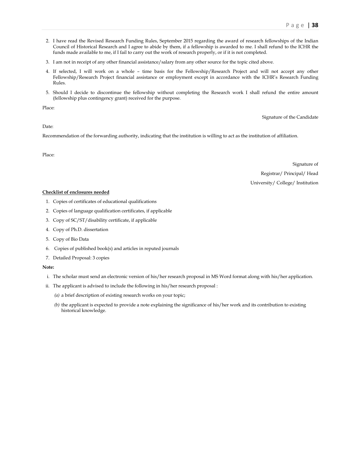- 2. I have read the Revised Research Funding Rules, September 2015 regarding the award of research fellowships of the Indian Council of Historical Research and I agree to abide by them, if a fellowship is awarded to me. I shall refund to the ICHR the funds made available to me, if I fail to carry out the work of research properly, or if it is not completed.
- 3. I am not in receipt of any other financial assistance/salary from any other source for the topic cited above.
- 4. If selected, I will work on a whole time basis for the Fellowship/Research Project and will not accept any other Fellowship/Research Project financial assistance or employment except in accordance with the ICHR's Research Funding Rules.
- 5. Should I decide to discontinue the fellowship without completing the Research work I shall refund the entire amount (fellowship plus contingency grant) received for the purpose.

Place:

Signature of the Candidate

Date:

Recommendation of the forwarding authority, indicating that the institution is willing to act as the institution of affiliation.

Place:

Signature of Registrar/ Principal/ Head University/ College/ Institution

### **Checklist of enclosures needed**

- 1. Copies of certificates of educational qualifications
- 2. Copies of language qualification certificates, if applicable
- 3. Copy of SC/ST/disability certificate, if applicable
- 4. Copy of Ph.D. dissertation
- 5. Copy of Bio Data
- 6. Copies of published book(s) and articles in reputed journals
- 7. Detailed Proposal: 3 copies

#### **Note:**

- i. The scholar must send an electronic version of his/her research proposal in MS Word format along with his/her application.
- ii. The applicant is advised to include the following in his/her research proposal :
	- *(a)* a brief description of existing research works on your topic;
	- *(b)* the applicant is expected to provide a note explaining the significance of his/her work and its contribution to existing historical knowledge.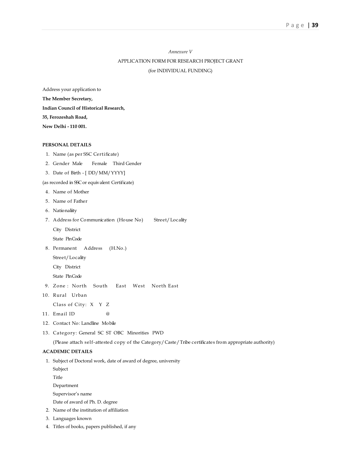# *Annexure V* APPLICATION FORM FOR RESEARCH PROJECT GRANT (for INDIVIDUAL FUNDING)

Address your application to **The Member Secretary, Indian Council of Historical Research, 35, Ferozeshah Road, New Delhi - 110 001.** 

### **PERSONAL DETAILS**

- 1. Name (as per SSC Certificate)
- 2. Gender Male Female Third Gender
- 3. Date of Birth [ DD/MM/YYYY]

(as recorded in SSC or equivalent Certificate)

- 4. Name of Mother
- 5. Name of Father
- 6. Nationaliity
- 7. Address for Communication (House No) Street/Locality

City District

State Pin Code

8. Permanent Address (H.No.)

Street/Locality

City District

State Pin Code

- 9. Zone : North South East West North East
- 10. Rural Urban

Class of City: X Y Z

- 11. Email ID @
- 12. Contact No: Landline Mobile
- 13. Category: General SC ST OBC Minorities PWD

(Please attach self-attested copy of the Category/Caste/Tribe certificates from appropriate authority)

### **ACADEMIC DETAILS**

1. Subject of Doctoral work, date of award of degree, university

Subject

Title

Department

Supervisor's name

Date of award of Ph. D. degree

- 2. Name of the institution of affiliation
- 3. Languages known
- 4. Titles of books, papers published, if any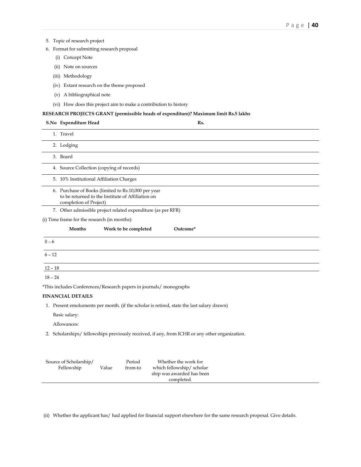### 5. Topic of research project

- 6. Format for submitting research proposal
	- (i) Concept Note
	- (ii) Note on sources
	- (iii) Methodology
	- (iv) Extant research on the theme proposed
	- (v) A bibliographical note
	- (vi) How does this project aim to make a contribution to history

### **RESEARCH PROJECTS GRANT (permissible heads of expenditure)? Maximum limit Rs.5 lakhs**

# **S.No Expenditure Head Rs.** 1. Travel 2. Lodging 3. Board 4. Source Collection (copying of records) 5. 10% Institutional Affiliation Charges 6. Purchase of Books (limited to Rs.10,000 per year to be returned to the Institute of Affiliation on completion of Project)

7. Other admissible project related expenditure (as per RFR)

(i) Time frame for the research (in months):

|           | Months | Work to be completed | Outcome* |  |
|-----------|--------|----------------------|----------|--|
| $0 - 6$   |        |                      |          |  |
| $6 - 12$  |        |                      |          |  |
| $12 - 18$ |        |                      |          |  |
| $18 - 24$ |        |                      |          |  |

\*This includes Conferences/Research papers in journals/ monographs

### **FINANCIAL DETAILS**

1. Present emoluments per month. (if the scholar is retired, state the last salary drawn)

Basic salary:

Allowances:

2. Scholarships/ fellowships previously received, if any, from ICHR or any other organization.

| Source of Scholarship/ |       | Period  | Whether the work for      |  |
|------------------------|-------|---------|---------------------------|--|
| Fellowship             | Value | from-to | which fellowship/scholar  |  |
|                        |       |         | ship was awarded has been |  |
|                        |       |         | completed.                |  |
|                        |       |         |                           |  |

(ii) Whether the applicant has/ had applied for financial support elsewhere for the same research proposal. Give details.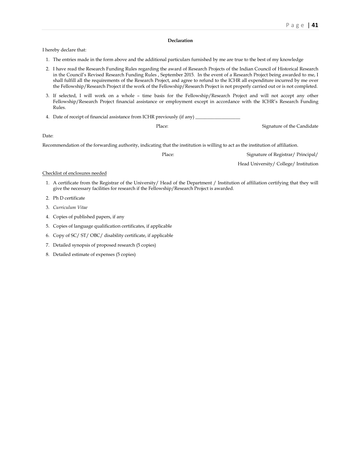### **Declaration**

I hereby declare that:

- 1. The entries made in the form above and the additional particulars furnished by me are true to the best of my knowledge
- 2. I have read the Research Funding Rules regarding the award of Research Projects of the Indian Council of Historical Research in the Council's Revised Research Funding Rules , September 2015. In the event of a Research Project being awarded to me, I shall fulfill all the requirements of the Research Project, and agree to refund to the ICHR all expenditure incurred by me over the Fellowship/Research Project if the work of the Fellowship/Research Project is not properly carried out or is not completed.
- 3. If selected, I will work on a whole time basis for the Fellowship/Research Project and will not accept any other Fellowship/Research Project financial assistance or employment except in accordance with the ICHR's Research Funding Rules.
- 4. Date of receipt of financial assistance from ICHR previously (if any)

| Place: | Signature of the Candidate |
|--------|----------------------------|
|        |                            |

Date:

Recommendation of the forwarding authority, indicating that the institution is willing to act as the institution of affiliation.

| Place: | Signature of Registrar/ Principal/ |  |
|--------|------------------------------------|--|
|        |                                    |  |

Head University/ College/ Institution

#### Checklist of enclosures needed

- 1. A certificate from the Registrar of the University/ Head of the Department / Institution of affiliation certifying that they will give the necessary facilities for research if the Fellowship/Research Project is awarded.
- 2. Ph D certificate
- 3. *Curriculum Vitae*
- 4. Copies of published papers, if any
- 5. Copies of language qualification certificates, if applicable
- 6. Copy of SC/ ST/ OBC/ disability certificate, if applicable
- 7. Detailed synopsis of proposed research (5 copies)
- 8. Detailed estimate of expenses (5 copies)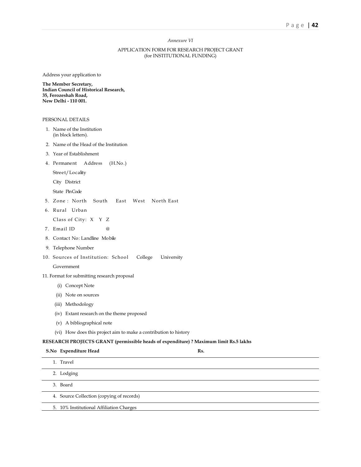### *Annexure VI*

### APPLICATION FORM FOR RESEARCH PROJECT GRANT (for INSTITUTIONAL FUNDING)

Address your application to

**The Member Secretary, Indian Council of Historical Research, 35, Ferozeshah Road, New Delhi - 110 001.** 

#### PERSONAL DETAILS

- 1. Name of the Institution (in block letters).
- 2. Name of the Head of the Institution
- 3. Year of Establishment
- 4. Permanent Address (H.No.)

Street/Locality

City District

State Pin Code

- 5. Zone : North South East West North East
- 6. Rural Urban

Class of City: X Y Z

- 7. Email ID @
- 8. Contact No: Landline Mobile
- 9. Telephone Number
- 10. Sources of Institution: School College University

### Government

### 11. Format for submitting research proposal

- (i) Concept Note
- (ii) Note on sources
- (iii) Methodology
- (iv) Extant research on the theme proposed
- (v) A bibliographical note
- (vi) How does this project aim to make a contribution to history

### **RESEARCH PROJECTS GRANT (permissible heads of expenditure) ? Maximum limit Rs.5 lakhs**

| S.No Expenditure Head                     | Rs. |
|-------------------------------------------|-----|
| 1. Travel                                 |     |
| 2. Lodging                                |     |
| 3. Board                                  |     |
| 4. Source Collection (copying of records) |     |
| 5. 10% Institutional Affiliation Charges  |     |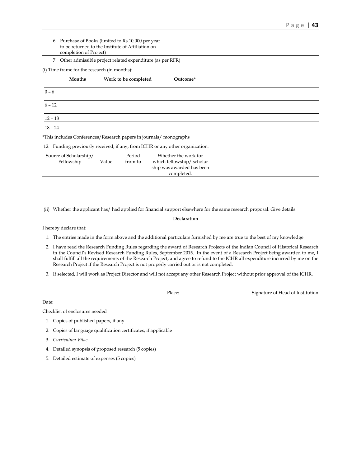- 6. Purchase of Books (limited to Rs.10,000 per year to be returned to the Institute of Affiliation on completion of Project)
- 7. Other admissible project related expenditure (as per RFR)

(i) Time frame for the research (in months):

|           | Months | Work to be completed                                                          | Outcome* |  |
|-----------|--------|-------------------------------------------------------------------------------|----------|--|
| $0 - 6$   |        |                                                                               |          |  |
| $6 - 12$  |        |                                                                               |          |  |
| $12 - 18$ |        |                                                                               |          |  |
| $18 - 24$ |        |                                                                               |          |  |
|           |        | *This includes Conferences/Research papers in journals/ monographs            |          |  |
|           |        | 12. Funding previously received, if any, from ICHR or any other organization. |          |  |

| Source of Scholarship/ |       | Period  | Whether the work for      |  |
|------------------------|-------|---------|---------------------------|--|
| Fellowship             | Value | from-to | which fellowship/scholar  |  |
|                        |       |         | ship was awarded has been |  |
|                        |       |         | completed.                |  |

(ii) Whether the applicant has/ had applied for financial support elsewhere for the same research proposal. Give details.

#### **Declaration**

I hereby declare that:

- 1. The entries made in the form above and the additional particulars furnished by me are true to the best of my knowledge
- 2. I have read the Research Funding Rules regarding the award of Research Projects of the Indian Council of Historical Research in the Council's Revised Research Funding Rules, September 2015. In the event of a Research Project being awarded to me, I shall fulfill all the requirements of the Research Project, and agree to refund to the ICHR all expenditure incurred by me on the Research Project if the Research Project is not properly carried out or is not completed.
- 3. If selected, I will work as Project Director and will not accept any other Research Project without prior approval of the ICHR.

Place: Signature of Head of Institution

Date:

Checklist of enclosures needed

- 1. Copies of published papers, if any
- 2. Copies of language qualification certificates, if applicable
- 3. *Curriculum Vitae*
- 4. Detailed synopsis of proposed research (5 copies)
- 5. Detailed estimate of expenses (5 copies)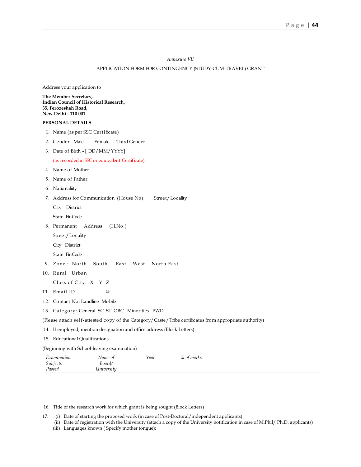#### *Annexure VII*

### APPLICATION FORM FOR CONTINGENCY (STUDY-CUM-TRAVEL) GRANT

Address your application to

**The Member Secretary, Indian Council of Historical Research, 35, Ferozeshah Road, New Delhi - 110 001.** 

### **PERSONAL DETAILS**

- 1. Name (as per SSC Certificate)
- 2. Gender Male Female Third Gender
- 3. Date of Birth [ DD/MM/YYYY]

#### (as recorded in SSC or equivalent Certificate)

- 4. Name of Mother
- 5. Name of Father
- 6. Nationaliity
- 7. Address for Communication (House No) Street/Locality

City District

State Pin Code

8. Permanent Address (H.No.)

Street/Locality

City District

State Pin Code

- 9. Zone : North South East West North East
- 10. Rural Urban

Class of City: X Y Z

- 11. Email ID @
- 12. Contact No: Landline Mobile
- 13. Category: General SC ST OBC Minorities PWD
- (Please attach self-attested copy of the Category/Caste/Tribe certificates from appropriate authority)
- 14. If employed, mention designation and office address (Block Letters)
- 15. Educational Qualifications

(Beginning with School-leaving examination)

| Examination | Name of    | Year | % of marks |  |
|-------------|------------|------|------------|--|
| Subjects    | Board/     |      |            |  |
| Passed      | Universitu |      |            |  |

- 16. Title of the research work for which grant is being sought (Block Letters)
- 17. (i) Date of starting the proposed work (in case of Post-Doctoral/independent applicants)
	- (ii) Date of registration with the University (attach a copy of the University notification in case of M.Phil/ Ph.D. applicants) (iii) Languages known ( Specify mother tongue):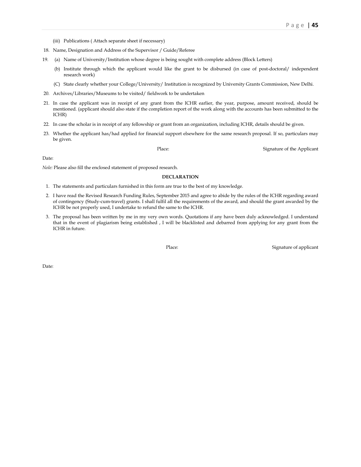- (iii) Publications ( Attach separate sheet if necessary)
- 18. Name, Designation and Address of the Supervisor / Guide/Referee
- 19. (a) Name of University/Institution whose degree is being sought with complete address (Block Letters)
	- (b) Institute through which the applicant would like the grant to be disbursed (in case of post-doctoral/ independent research work)
	- (C) State clearly whether your College/University/ Institution is recognized by University Grants Commission, New Delhi.
- 20. Archives/Libraries/Museums to be visited/ fieldwork to be undertaken
- 21. In case the applicant was in receipt of any grant from the ICHR earlier, the year, purpose, amount received, should be mentioned. (applicant should also state if the completion report of the work along with the accounts has been submitted to the ICHR)
- 22. In case the scholar is in receipt of any fellowship or grant from an organization, including ICHR, details should be given.
- 23. Whether the applicant has/had applied for financial support elsewhere for the same research proposal. If so, particulars may be given.

Place: Signature of the Applicant

Date:

*Nole:* Please also fill the enclosed statement of proposed research.

### **DECLARATION**

- 1. The statements and particulars furnished in this form are true to the best of my knowledge.
- 2. I have read the Revised Research Funding Rules, September 2015 and agree to abide by the rules of the ICHR regarding award of contingency (Study-cum-travel) grants. I shall fulfil all the requirements of the award, and should the grant awarded by the ICHR be not properly used, I undertake to refund the same to the ICHR.
- 3. The proposal has been written by me in my very own words. Quotations if any have been duly acknowledged. I understand that in the event of plagiarism being established , I will be blacklisted and debarred from applying for any grant from the ICHR in future.

Place: Signature of applicant

Date: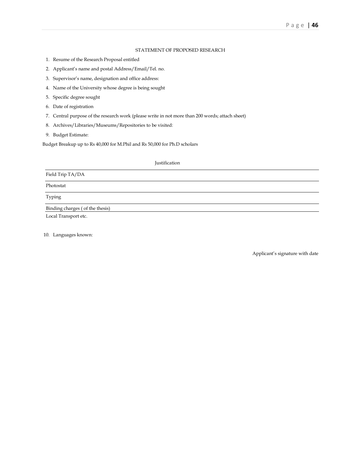### STATEMENT OF PROPOSED RESEARCH

- 1. Resume of the Research Proposal entitled
- 2. Applicant's name and postal Address/Email/Tel. no.
- 3. Supervisor's name, designation and office address:
- 4. Name of the University whose degree is being sought
- 5. Specific degree sought
- 6. Date of registration
- 7. Central purpose of the research work (please write in not more than 200 words; attach sheet)
- 8. Archives/Libraries/Museums/Repositories to be visited:
- 9. Budget Estimate:

Budget Breakup up to Rs 40,000 for M.Phil and Rs 50,000 for Ph.D scholars

# Justification Field Trip TA/DA Photostat Typing Binding charges ( of the thesis) Local Transport etc.

10. Languages known:

Applicant's signature with date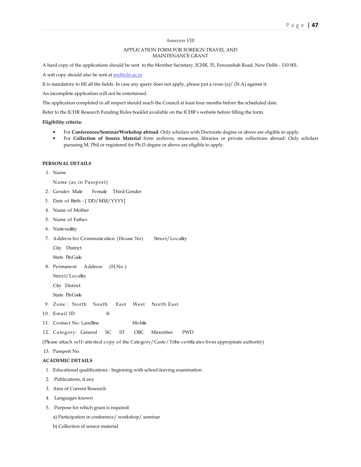#### *Annexure VIII*

### APPLICATION FORM FOR FOREIGN TRAVEL AND MAINTENANCE GRANT

A hard copy of the applications should be sent to the Member Secretary, ICHR, 35, Ferozeshah Road, New Delhi - 110 001.

A soft copy should also be sent at ms@ichr.ac.in

It is mandatory to fill all the fields. In case any query does not apply, please put a cross (x)/ (N.A) against it.

An incomplete application will not be entertained.

The application completed in all respect should reach the Council at least four months before the scheduled date.

Refer to the ICHR Research Funding Rules booklet available on the ICHR's website before filling the form.

**Eligibility criteria:** 

- For **Conferences/Seminar/Workshop abroad**: Only scholars with Doctorate degree or above are eligible to apply.
- For **Collection of Source Material** from archives, museums, libraries or private collections abroad: Only scholars pursuing M. Phil or registered for Ph.D degree or above are eligible to apply.

#### **PERSONAL DETAILS**

 1. Name Name (as in Passport)

- 2. Gender Male Female Third Gender
- 3. Date of Birth [ DD/MM/YYYY]
- 4. Name of Mother
- 5. Name of Father
- 6. Nationaliity
- 7. Address for Communication (House No) Street/Locality
	- City District

State Pin Code

8. Permanent Address (H.No.)

Street/Locality

City District

State Pin Code

- 9. Zone : North South East West North East
- 10. Email ID @
- 11. Contact No: Landline Mobile
- 12. Category: General SC ST OBC Minorities PWD

(Please attach self-attested copy of the Category/Caste/Tribe certificates from appropriate authority)

13. Passport No.

#### **ACADEMIC DETAILS**

- 1. Educational qualifications beginning with school-leaving examination
- 2. Publications, if any
- 3. Area of Current Research
- 4. Languages known
- 5. Purpose for which grant is required:
	- a) Participation in conference/ workshop/ seminar
	- b) Collection of source material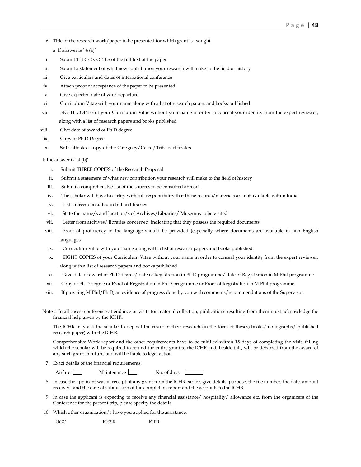6. Title of the research work/paper to be presented for which grant is sought

a. If answer is ' 4 (a)'

- i. Submit THREE COPIES of the full text of the paper
- ii. Submit a statement of what new contribution your research will make to the field of history
- iii. Give particulars and dates of international conference
- iv. Attach proof of acceptance of the paper to be presented
- v. Give expected date of your departure
- vi. Curriculum Vitae with your name along with a list of research papers and books published
- vii. EIGHT COPIES of your Curriculum Vitae without your name in order to conceal your identity from the expert reviewer, along with a list of research papers and books published
- viii. Give date of award of Ph.D degree
- ix. Copy of Ph.D Degree
- x. Self-attested copy of the Category/Caste/Tribe certificates

If the answer is ' 4 (b)'

- i. Submit THREE COPIES of the Research Proposal
- ii. Submit a statement of what new contribution your research will make to the field of history
- iii. Submit a comprehensive list of the sources to be consulted abroad.
- iv. The scholar will have to certify with full responsibility that those records/materials are not available within India.
- v. List sources consulted in Indian libraries
- vi. State the name/s and location/s of Archives/Libraries/ Museums to be visited
- vii. Letter from archives/ libraries concerned, indicating that they possess the required documents
- viii. Proof of proficiency in the language should be provided (especially where documents are available in non English languages
- ix. Curriculum Vitae with your name along with a list of research papers and books published
- x. EIGHT COPIES of your Curriculum Vitae without your name in order to conceal your identity from the expert reviewer, along with a list of research papers and books published
- xi. Give date of award of Ph.D degree/ date of Registration in Ph.D programme/ date of Registration in M.Phil programme
- xii. Copy of Ph.D degree or Proof of Registration in Ph.D programme or Proof of Registration in M.Phil programme
- xiii. If pursuing M.Phil/Ph.D, an evidence of progress done by you with comments/recommendations of the Supervisor
- Note : In all cases- conference-attendance or visits for material collection, publications resulting from them must acknowledge the financial help given by the ICHR.

The ICHR may ask the scholar to deposit the result of their research (in the form of theses/books/monographs/ published research paper) with the ICHR.

Comprehensive Work report and the other requirements have to be fulfilled within 15 days of completing the visit, failing which the scholar will be required to refund the entire grant to the ICHR and, beside this, will be debarred from the award of any such grant in future, and will be liable to legal action.

7. Exact details of the financial requirements:

| irtar<br>× |  |
|------------|--|
|------------|--|

| Maintenance | No. of davs |  |
|-------------|-------------|--|

- 8. In case the applicant was in receipt of any grant from the ICHR earlier, give details: purpose, the file number, the date, amount received, and the date of submission of the completion report and the accounts to the ICHR
- 9. In case the applicant is expecting to receive any financial assistance/ hospitality/ allowance etc. from the organizers of the Conference for the present trip, please specify the details
- 10. Which other organization/s have you applied for the assistance:

UGC ICSSR ICPR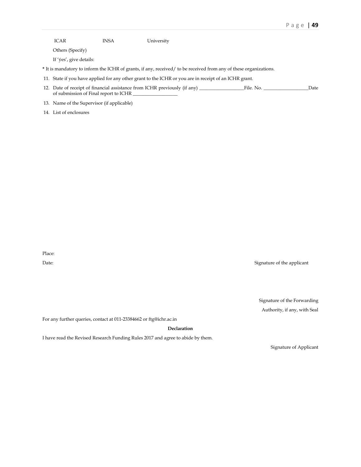| ICAR                                  | <b>INSA</b> | University                                                                                                        |      |
|---------------------------------------|-------------|-------------------------------------------------------------------------------------------------------------------|------|
| Others (Specify)                      |             |                                                                                                                   |      |
| If 'yes', give details:               |             |                                                                                                                   |      |
|                                       |             | * It is mandatory to inform the ICHR of grants, if any, received/ to be received from any of these organizations. |      |
|                                       |             | 11. State if you have applied for any other grant to the ICHR or you are in receipt of an ICHR grant.             |      |
| of submission of Final report to ICHR |             | 12. Date of receipt of financial assistance from ICHR previously (if any) File. No.                               | Date |

13. Name of the Supervisor (if applicable)

14. List of enclosures

Place:

Date: Signature of the applicant

Signature of the Forwarding Authority, if any, with Seal

For any further queries, contact at 011-23384662 or ftg@ichr.ac.in

**Declaration** 

I have read the Revised Research Funding Rules 2017 and agree to abide by them.

Signature of Applicant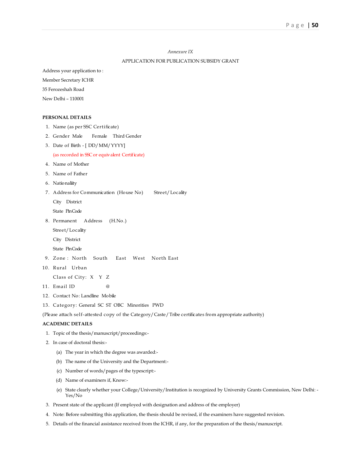### *Annexure IX*

### APPLICATION FOR PUBLICATION SUBSIDY GRANT

Address your application to :

Member Secretary ICHR

35 Ferozeshah Road

New Delhi – 110001

### **PERSONAL DETAILS**

- 1. Name (as per SSC Certificate)
- 2. Gender Male Female Third Gender
- 3. Date of Birth [ DD/MM/YYYY]

### (as recorded in SSC or equivalent Certificate)

- 4. Name of Mother
- 5. Name of Father
- 6. Nationaliity
- 7. Address for Communication (House No) Street/Locality

City District

State Pin Code

8. Permanent Address (H.No.)

Street/Locality

City District

State Pin Code

- 9. Zone : North South East West North East
- 10. Rural Urban

Class of City: X Y Z

- 11. Email ID @
- 12. Contact No: Landline Mobile
- 13. Category: General SC ST OBC Minorities PWD

(Please attach self-attested copy of the Category/Caste/Tribe certificates from appropriate authority)

### **ACADEMIC DETAILS**

- 1. Topic of the thesis/manuscript/proceedings:-
- 2. In case of doctoral thesis:-
	- (a) The year in which the degree was awarded:-
	- (b) The name of the University and the Department:-
	- (c) Number of words/pages of the typescript:-
	- (d) Name of examiners if, Know:-
	- (e) State clearly whether your College/University/Institution is recognized by University Grants Commission, New Delhi: Yes/No
- 3. Present state of the applicant (If employed with designation and address of the employer)
- 4. Note: Before submitting this application, the thesis should be revised, if the examiners have suggested revision.
- 5. Details of the financial assistance received from the ICHR, if any, for the preparation of the thesis/manuscript.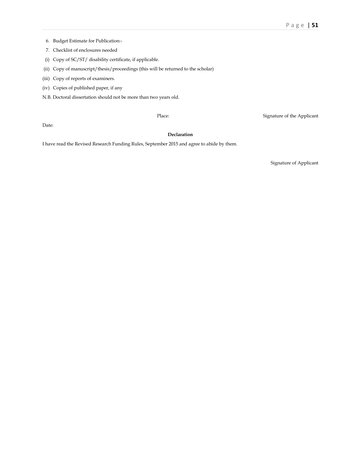- 6. Budget Estimate for Publication:-
- 7. Checklist of enclosures needed
- (i) Copy of SC/ST/ disability certificate, if applicable.
- (ii) Copy of manuscript/thesis/proceedings (this will be returned to the scholar)
- (iii) Copy of reports of examiners.
- (iv) Copies of published paper, if any
- N.B. Doctoral dissertation should not be more than two years old.

Place: Signature of the Applicant

Date:

### **Declaration**

I have read the Revised Research Funding Rules, September 2015 and agree to abide by them.

Signature of Applicant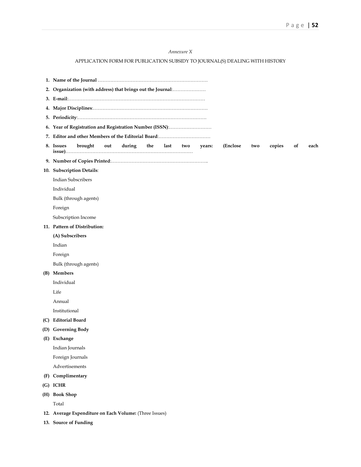### *Annexure X*

# APPLICATION FORM FOR PUBLICATION SUBSIDY TO JOURNAL(S) DEALING WITH HISTORY

|     | 2. Organization (with address) that brings out the Journal:                                                       |  |  |  |  |  |  |
|-----|-------------------------------------------------------------------------------------------------------------------|--|--|--|--|--|--|
|     |                                                                                                                   |  |  |  |  |  |  |
|     |                                                                                                                   |  |  |  |  |  |  |
|     |                                                                                                                   |  |  |  |  |  |  |
|     | 6. Year of Registration and Registration Number (ISSN):                                                           |  |  |  |  |  |  |
|     |                                                                                                                   |  |  |  |  |  |  |
|     | copies<br>8. Issues<br>brought<br>out<br>during<br>the<br>last<br>years:<br>(Enclose)<br>two<br>of<br>each<br>two |  |  |  |  |  |  |
|     |                                                                                                                   |  |  |  |  |  |  |
|     | 10. Subscription Details:                                                                                         |  |  |  |  |  |  |
|     | <b>Indian Subscribers</b>                                                                                         |  |  |  |  |  |  |
|     | Individual                                                                                                        |  |  |  |  |  |  |
|     | Bulk (through agents)                                                                                             |  |  |  |  |  |  |
|     | Foreign                                                                                                           |  |  |  |  |  |  |
|     | Subscription Income                                                                                               |  |  |  |  |  |  |
|     | 11. Pattern of Distribution:                                                                                      |  |  |  |  |  |  |
|     | (A) Subscribers                                                                                                   |  |  |  |  |  |  |
|     | Indian                                                                                                            |  |  |  |  |  |  |
|     | Foreign                                                                                                           |  |  |  |  |  |  |
|     | Bulk (through agents)                                                                                             |  |  |  |  |  |  |
|     | (B) Members                                                                                                       |  |  |  |  |  |  |
|     | Individual                                                                                                        |  |  |  |  |  |  |
|     | Life                                                                                                              |  |  |  |  |  |  |
|     | Annual                                                                                                            |  |  |  |  |  |  |
|     | Institutional                                                                                                     |  |  |  |  |  |  |
| (C) | <b>Editorial Board</b>                                                                                            |  |  |  |  |  |  |
|     | (D) Governing Body                                                                                                |  |  |  |  |  |  |
|     | (E) Exchange                                                                                                      |  |  |  |  |  |  |
|     | Indian Journals                                                                                                   |  |  |  |  |  |  |
|     | Foreign Journals                                                                                                  |  |  |  |  |  |  |
|     | Advertisements                                                                                                    |  |  |  |  |  |  |
| (F) | Complimentary                                                                                                     |  |  |  |  |  |  |
|     | (G) ICHR                                                                                                          |  |  |  |  |  |  |
|     | (H) Book Shop                                                                                                     |  |  |  |  |  |  |
|     | Total                                                                                                             |  |  |  |  |  |  |
|     | 12. Average Expenditure on Each Volume: (Three Issues)                                                            |  |  |  |  |  |  |
|     | 13. Source of Funding                                                                                             |  |  |  |  |  |  |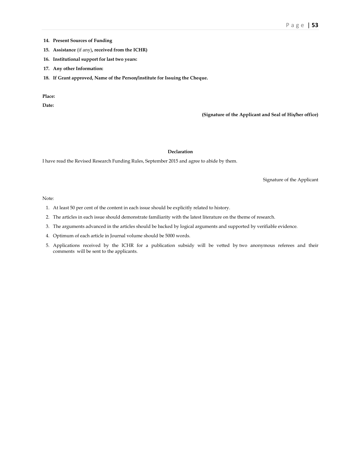- **14. Present Sources of Funding**
- **15. Assistance** (if any)**, received from the ICHR)**
- **16. Institutional support for last two years:**
- **17. Any other Information:**
- **18. If Grant approved, Name of the Person/institute for Issuing the Cheque.**

**Place:** 

**Date:** 

**(Signature of the Applicant and Seal of His/her office)** 

### **Declaration**

I have read the Revised Research Funding Rules, September 2015 and agree to abide by them.

Signature of the Applicant

### Note:

- 1. At least 50 per cent of the content in each issue should be explicitly related to history.
- 2. The articles in each issue should demonstrate familiarity with the latest literature on the theme of research.
- 3. The arguments advanced in the articles should be backed by logical arguments and supported by verifiable evidence.
- 4. Optimum of each article in Journal volume should be 5000 words.
- 5. Applications received by the ICHR for a publication subsidy will be vetted by two anonymous referees and their comments will be sent to the applicants.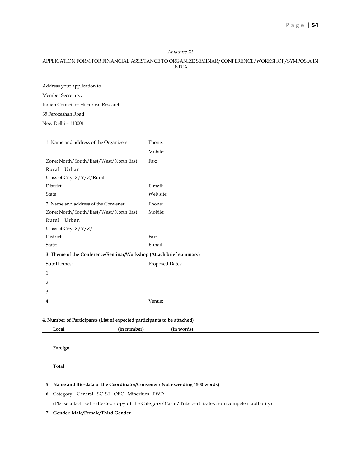### *Annexure XI*

### APPLICATION FORM FOR FINANCIAL ASSISTANCE TO ORGANIZE SEMINAR/CONFERENCE/WORKSHOP/SYMPOSIA IN INDIA

Address your application to

Member Secretary,

Indian Council of Historical Research

35 Ferozeshah Road

New Delhi – 110001

| 1. Name and address of the Organizers:                             | Phone:          |
|--------------------------------------------------------------------|-----------------|
|                                                                    | Mobile:         |
| Zone: North/South/East/West/North East                             | Fax:            |
| Rural Urban                                                        |                 |
| Class of City: X/Y/Z/Rural                                         |                 |
| District:                                                          | E-mail:         |
| State:                                                             | Web site:       |
| 2. Name and address of the Convener:                               | Phone:          |
| Zone: North/South/East/West/North East                             | Mobile:         |
| Rural Urban                                                        |                 |
| Class of City: X/Y/Z/                                              |                 |
| District:                                                          | Fax:            |
| State:                                                             | E-mail          |
| 3. Theme of the Conference/Seminar/Workshop (Attach brief summary) |                 |
| Sub:Themes:                                                        | Proposed Dates: |
| 1.                                                                 |                 |
| 2.                                                                 |                 |
| 3.                                                                 |                 |
| 4.                                                                 | Venue:          |
|                                                                    |                 |

### **4. Number of Participants (List of expected participants to be attached)**

|       | ıhor         | (11          |  |
|-------|--------------|--------------|--|
|       | $\mathbf{m}$ | <b>MORDE</b> |  |
| Local |              | ___          |  |
|       |              |              |  |

 **Foreign** 

 **Total** 

### **5. Name and Bio-data of the Coordinator/Convener ( Not exceeding 1500 words)**

 **6.** Category : General SC ST OBC Minorities PWD

(Please attach self-attested copy of the Category/Caste/Tribe certificates from competent authority)

**7. Gender: Male/Female/Third Gender**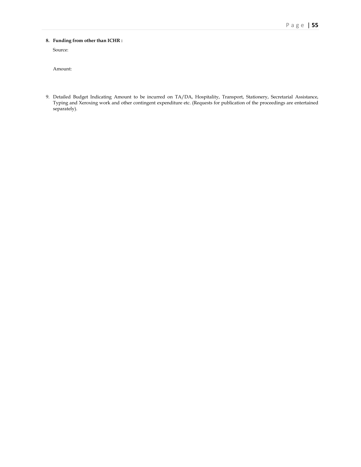### **8. Funding from other than ICHR :**

Source:

Amount:

 9. Detailed Budget Indicating Amount to be incurred on TA/DA, Hospitality, Transport, Stationery, Secretarial Assistance, Typing and Xeroxing work and other contingent expenditure etc. (Requests for publication of the proceedings are entertained separately).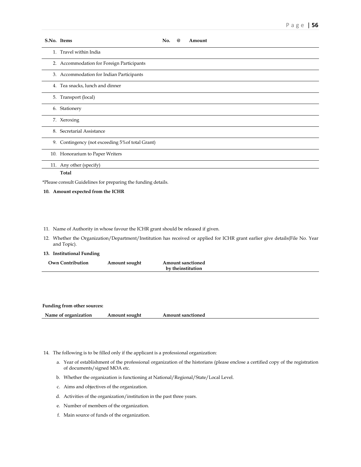|     | S.No. Items                                                   | No. | $\omega$ | Amount |  |
|-----|---------------------------------------------------------------|-----|----------|--------|--|
|     | 1. Travel within India                                        |     |          |        |  |
|     | 2. Accommodation for Foreign Participants                     |     |          |        |  |
|     | 3. Accommodation for Indian Participants                      |     |          |        |  |
|     | 4. Tea snacks, lunch and dinner                               |     |          |        |  |
| 5.  | Transport (local)                                             |     |          |        |  |
|     | 6. Stationery                                                 |     |          |        |  |
|     | 7. Xeroxing                                                   |     |          |        |  |
|     | 8. Secretarial Assistance                                     |     |          |        |  |
|     | 9. Contingency (not exceeding 5% of total Grant)              |     |          |        |  |
|     | 10. Honorarium to Paper Writers                               |     |          |        |  |
| 11. | Any other (specify)                                           |     |          |        |  |
|     | Total                                                         |     |          |        |  |
|     | *Please consult Guidelines for preparing the funding details. |     |          |        |  |
|     | 10. Amount expected from the ICHR                             |     |          |        |  |

### 11. Name of Authority in whose favour the ICHR grant should be released if given.

 12. Whether the Organization/Department/Institution has received or applied for ICHR grant earlier give details(File No. Year and Topic).

### **13. Institutional Funding**

| Own Contribution | Amount sought | <b>Amount sanctioned</b> |  |
|------------------|---------------|--------------------------|--|
|                  |               | by theinstitution        |  |

| Funding from other sources: |               |                          |
|-----------------------------|---------------|--------------------------|
| Name of organization        | Amount sought | <b>Amount sanctioned</b> |

- 14. The following is to be filled only if the applicant is a professional organization:
	- a. Year of establishment of the professional organization of the historians (please enclose a certified copy of the registration of documents/signed MOA etc.
	- b. Whether the organization is functioning at National/Regional/State/Local Level.
	- c. Aims and objectives of the organization.
	- d. Activities of the organization/institution in the past three years.
	- e. Number of members of the organization.
	- f. Main source of funds of the organization.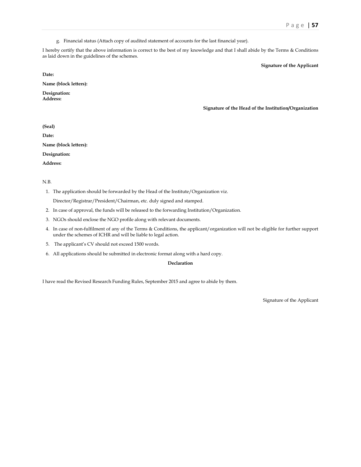g. Financial status (Attach copy of audited statement of accounts for the last financial year).

I hereby certify that the above information is correct to the best of my knowledge and that I shall abide by the Terms & Conditions as laid down in the guidelines of the schemes.

**Signature of the Applicant** 

**Date:** 

**Name (block letters):** 

**Designation: Address:** 

**Signature of the Head of the Institution/Organization** 

**(Seal)** 

**Date:** 

**Name (block letters):** 

**Designation:** 

**Address:** 

N.B.

1. The application should be forwarded by the Head of the Institute/Organization viz.

Director/Registrar/President/Chairman, etc. duly signed and stamped.

- 2. In case of approval, the funds will be released to the forwarding Institution/Organization.
- 3. NGOs should enclose the NGO profile along with relevant documents.
- 4. In case of non-fulfilment of any of the Terms & Conditions, the applicant/organization will not be eligible for further support under the schemes of ICHR and will be liable to legal action.
- 5. The applicant's CV should not exceed 1500 words.
- 6. All applications should be submitted in electronic format along with a hard copy.

### **Declaration**

I have read the Revised Research Funding Rules, September 2015 and agree to abide by them.

Signature of the Applicant